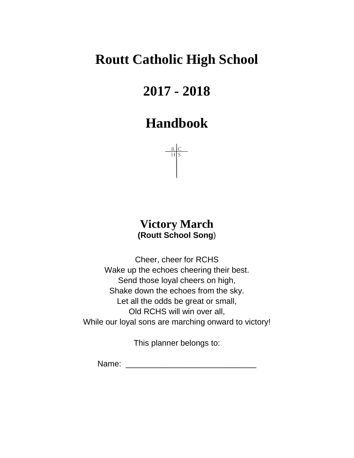# **Routt Catholic High School**

# **2017 - 2018**

## **Handbook**



## **Victory March (Routt School Song**)

Cheer, cheer for RCHS Wake up the echoes cheering their best. Send those loyal cheers on high, Shake down the echoes from the sky. Let all the odds be great or small, Old RCHS will win over all, While our loyal sons are marching onward to victory!

This planner belongs to:

Name:  $\blacksquare$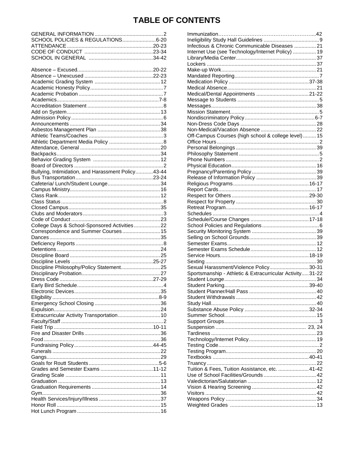## **TABLE OF CONTENTS**

| SCHOOL POLICIES & REGULATIONS6-20                  |  |
|----------------------------------------------------|--|
|                                                    |  |
|                                                    |  |
|                                                    |  |
|                                                    |  |
|                                                    |  |
|                                                    |  |
|                                                    |  |
|                                                    |  |
|                                                    |  |
|                                                    |  |
|                                                    |  |
|                                                    |  |
|                                                    |  |
|                                                    |  |
|                                                    |  |
|                                                    |  |
|                                                    |  |
|                                                    |  |
|                                                    |  |
|                                                    |  |
|                                                    |  |
|                                                    |  |
|                                                    |  |
| Bullying, Intimidation, and Harassment Policy43-44 |  |
|                                                    |  |
|                                                    |  |
|                                                    |  |
|                                                    |  |
|                                                    |  |
|                                                    |  |
|                                                    |  |
|                                                    |  |
| College Days & School-Sponsored Activities22       |  |
| Correspondence and Summer Courses 15               |  |
|                                                    |  |
|                                                    |  |
|                                                    |  |
|                                                    |  |
|                                                    |  |
|                                                    |  |
| Discipline Philosophy/Policy Statement25           |  |
|                                                    |  |
|                                                    |  |
|                                                    |  |
|                                                    |  |
|                                                    |  |
|                                                    |  |
|                                                    |  |
| Extracurricular Activity Transportation 10         |  |
|                                                    |  |
|                                                    |  |
|                                                    |  |
|                                                    |  |
|                                                    |  |
|                                                    |  |
|                                                    |  |
|                                                    |  |
|                                                    |  |
|                                                    |  |
|                                                    |  |
|                                                    |  |
|                                                    |  |
|                                                    |  |
|                                                    |  |
|                                                    |  |
|                                                    |  |
|                                                    |  |

| Infectious & Chronic Communicable Diseases  21           |  |
|----------------------------------------------------------|--|
| nternet Use (see Technology/Internet Policy)  19         |  |
|                                                          |  |
|                                                          |  |
|                                                          |  |
|                                                          |  |
|                                                          |  |
|                                                          |  |
|                                                          |  |
|                                                          |  |
|                                                          |  |
|                                                          |  |
|                                                          |  |
|                                                          |  |
|                                                          |  |
| Off-Campus Courses (high school & college level) 15      |  |
|                                                          |  |
|                                                          |  |
|                                                          |  |
|                                                          |  |
|                                                          |  |
|                                                          |  |
|                                                          |  |
|                                                          |  |
|                                                          |  |
|                                                          |  |
|                                                          |  |
|                                                          |  |
|                                                          |  |
|                                                          |  |
|                                                          |  |
|                                                          |  |
|                                                          |  |
|                                                          |  |
|                                                          |  |
|                                                          |  |
|                                                          |  |
| Sexual Harassment/Violence Policy30-31                   |  |
| Sportsmanship - Athletic & Extracurricular Activity31-22 |  |
|                                                          |  |
|                                                          |  |
|                                                          |  |
|                                                          |  |
|                                                          |  |
|                                                          |  |
|                                                          |  |
|                                                          |  |
|                                                          |  |
|                                                          |  |
|                                                          |  |
|                                                          |  |
|                                                          |  |
|                                                          |  |
|                                                          |  |
|                                                          |  |
| Tuition & Fees, Tuition Assistance, etc. 41-42           |  |
|                                                          |  |
|                                                          |  |
|                                                          |  |
|                                                          |  |
|                                                          |  |
|                                                          |  |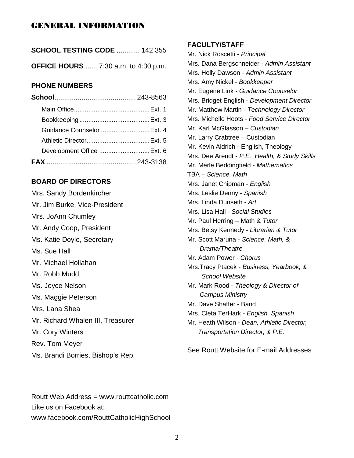## GENERAL INFORMATION

| <b>SCHOOL TESTING CODE  142 355</b>        |  |
|--------------------------------------------|--|
| <b>OFFICE HOURS</b> 7:30 a.m. to 4:30 p.m. |  |

## **PHONE NUMBERS**

| Guidance Counselor  Ext. 4 |  |
|----------------------------|--|
|                            |  |
| Development Office  Ext. 6 |  |
|                            |  |

## **BOARD OF DIRECTORS**

Mrs. Sandy Bordenkircher Mr. Jim Burke, Vice-President Mrs. JoAnn Chumley Mr. Andy Coop, President Ms. Katie Doyle, Secretary Ms. Sue Hall Mr. Michael Hollahan Mr. Robb Mudd Ms. Joyce Nelson Ms. Maggie Peterson Mrs. Lana Shea Mr. Richard Whalen III, Treasurer Mr. Cory Winters Rev. Tom Meyer Ms. Brandi Borries, Bishop's Rep. **FACULTY/STAFF**

Mr. Nick Roscetti - *Principal* Mrs. Dana Bergschneider - *Admin Assistant* Mrs. Holly Dawson - *Admin Assistant* Mrs. Amy Nickel - *Bookkeeper* Mr. Eugene Link - *Guidance Counselor* Mrs. Bridget English - *Development Director* Mr. Matthew Martin - *Technology Director* Mrs. Michelle Hoots - *Food Service Director* Mr. Karl McGlasson – *Custodian* Mr. Larry Crabtree – Custodian Mr. Kevin Aldrich - English, Theology Mrs. Dee Arendt - *P.E., Health, & Study Skills* Mr. Merle Beddingfield - *Mathematics* TBA – *Science, Math* Mrs. Janet Chipman - *English*  Mrs. Leslie Denny - *Spanish* Mrs. Linda Dunseth - *Art* Mrs. Lisa Hall - *Social Studies* Mr. Paul Herring – Math & *Tutor* Mrs. Betsy Kennedy - *Librarian & Tutor* Mr. Scott Maruna - *Science, Math, & Drama/Theatre* Mr. Adam Power - *Chorus* Mrs.Tracy Ptacek - *Business, Yearbook, & School Website* Mr. Mark Rood - *Theology & Director of Campus Ministry* Mr. Dave Shaffer - Band Mrs. Cleta TerHark - *English, Spanish*  Mr. Heath Wilson - *Dean, Athletic Director, Transportation Director, & P.E.*

See Routt Website for E-mail Addresses

Routt Web Address = www.routtcatholic.com Like us on Facebook at: www.facebook.com/RouttCatholicHighSchool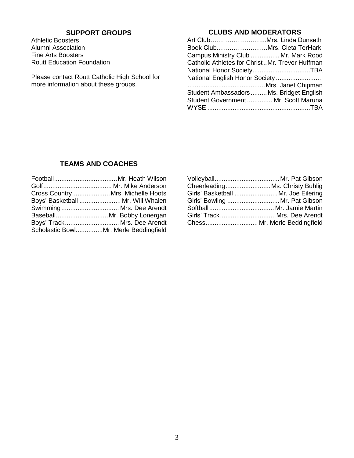## **SUPPORT GROUPS**

Athletic Boosters Alumni Association Fine Arts Boosters Routt Education Foundation

Please contact Routt Catholic High School for more information about these groups.

## **CLUBS AND MODERATORS**

| Art ClubMrs. Linda Dunseth                     |  |
|------------------------------------------------|--|
|                                                |  |
| Campus Ministry Club  Mr. Mark Rood            |  |
| Catholic Athletes for ChristMr. Trevor Huffman |  |
|                                                |  |
| National English Honor Society                 |  |
|                                                |  |
| Student Ambassadors  Ms. Bridget English       |  |
| Student Government  Mr. Scott Maruna           |  |
|                                                |  |

## **TEAMS AND COACHES**

| Cross Country Mrs. Michelle Hoots     |
|---------------------------------------|
| Boys' Basketball  Mr. Will Whalen     |
| Swimming Mrs. Dee Arendt              |
| Baseball Mr. Bobby Lonergan           |
| Boys' Track Mrs. Dee Arendt           |
| Scholastic BowlMr. Merle Beddingfield |

| CheerleadingMs. Christy Buhlig      |                                |
|-------------------------------------|--------------------------------|
| Girls' Basketball  Mr. Joe Eilering |                                |
|                                     | Girls' Bowling  Mr. Pat Gibson |
|                                     |                                |
|                                     | Girls' TrackMrs. Dee Arendt    |
|                                     | Chess Mr. Merle Beddingfield   |
|                                     |                                |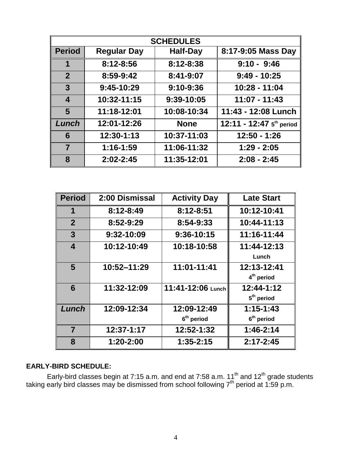|                  | <b>SCHEDULES</b>   |                 |                          |  |  |  |
|------------------|--------------------|-----------------|--------------------------|--|--|--|
| <b>Period</b>    | <b>Regular Day</b> | <b>Half-Day</b> | 8:17-9:05 Mass Day       |  |  |  |
| 1                | 8:12-8:56          | 8:12-8:38       | $9:10 - 9:46$            |  |  |  |
| $\overline{2}$   | 8:59-9:42          | 8:41-9:07       | $9:49 - 10:25$           |  |  |  |
| $\mathbf{3}$     | $9:45-10:29$       | $9:10 - 9:36$   | 10:28 - 11:04            |  |  |  |
| $\boldsymbol{4}$ | 10:32-11:15        | 9:39-10:05      | $11:07 - 11:43$          |  |  |  |
| 5                | 11:18-12:01        | 10:08-10:34     | 11:43 - 12:08 Lunch      |  |  |  |
| Lunch            | 12:01-12:26        | <b>None</b>     | 12:11 - 12:47 5th period |  |  |  |
| 6                | 12:30-1:13         | 10:37-11:03     | $12:50 - 1:26$           |  |  |  |
| $\overline{7}$   | $1:16 - 1:59$      | 11:06-11:32     | $1:29 - 2:05$            |  |  |  |
| 8                | $2:02 - 2:45$      | 11:35-12:01     | $2:08 - 2:45$            |  |  |  |

| <b>Period</b>           | 2:00 Dismissal | <b>Activity Day</b>    | <b>Late Start</b>      |
|-------------------------|----------------|------------------------|------------------------|
| 1                       | 8:12-8:49      | 8:12-8:51              | 10:12-10:41            |
| $\overline{2}$          | 8:52-9:29      | 8:54-9:33              | 10:44-11:13            |
| $\mathbf{3}$            | 9:32-10:09     | 9:36-10:15             | 11:16-11:44            |
| $\overline{\mathbf{4}}$ | 10:12-10:49    | 10:18-10:58            | 11:44-12:13            |
|                         |                |                        | Lunch                  |
| $5\phantom{.0}$         | 10:52-11:29    | 11:01-11:41            | 12:13-12:41            |
|                         |                |                        | 4 <sup>th</sup> period |
| 6                       | 11:32-12:09    | 11:41-12:06 Lunch      | $12:44-1:12$           |
|                         |                |                        | 5 <sup>th</sup> period |
| Lunch                   | 12:09-12:34    | 12:09-12:49            | $1:15 - 1:43$          |
|                         |                | 6 <sup>th</sup> period | $6th$ period           |
| $\overline{7}$          | 12:37-1:17     | 12:52-1:32             | $1:46-2:14$            |
| 8                       | 1:20-2:00      | $1:35 - 2:15$          | $2:17 - 2:45$          |

## **EARLY-BIRD SCHEDULE:**

Early-bird classes begin at 7:15 a.m. and end at 7:58 a.m. 11<sup>th</sup> and 12<sup>th</sup> grade students taking early bird classes may be dismissed from school following  $7<sup>th</sup>$  period at 1:59 p.m.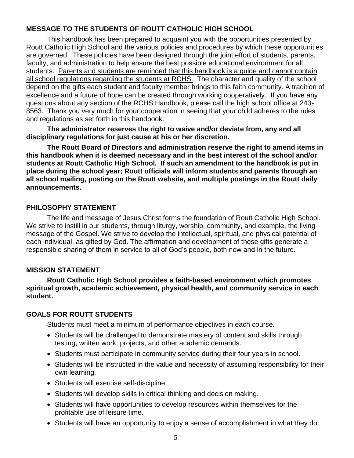## **MESSAGE TO THE STUDENTS OF ROUTT CATHOLIC HIGH SCHOOL**

This handbook has been prepared to acquaint you with the opportunities presented by Routt Catholic High School and the various policies and procedures by which these opportunities are governed. These policies have been designed through the joint effort of students, parents, faculty, and administration to help ensure the best possible educational environment for all students. Parents and students are reminded that this handbook is a guide and cannot contain all school regulations regarding the students at RCHS. The character and quality of the school depend on the gifts each student and faculty member brings to this faith community. A tradition of excellence and a future of hope can be created through working cooperatively. If you have any questions about any section of the RCHS Handbook, please call the high school office at 243- 8563. Thank you very much for your cooperation in seeing that your child adheres to the rules and regulations as set forth in this handbook.

**The administrator reserves the right to waive and/or deviate from, any and all disciplinary regulations for just cause at his or her discretion.**

**The Routt Board of Directors and administration reserve the right to amend items in this handbook when it is deemed necessary and in the best interest of the school and/or students at Routt Catholic High School. If such an amendment to the handbook is put in place during the school year; Routt officials will inform students and parents through an all school mailing, posting on the Routt website, and multiple postings in the Routt daily announcements.**

## **PHILOSOPHY STATEMENT**

The life and message of Jesus Christ forms the foundation of Routt Catholic High School. We strive to instill in our students, through liturgy, worship, community, and example, the living message of the Gospel. We strive to develop the intellectual, spiritual, and physical potential of each individual, as gifted by God. The affirmation and development of these gifts generate a responsible sharing of them in service to all of God's people, both now and in the future.

## **MISSION STATEMENT**

**Routt Catholic High School provides a faith-based environment which promotes spiritual growth, academic achievement, physical health, and community service in each student.**

## **GOALS FOR ROUTT STUDENTS**

Students must meet a minimum of performance objectives in each course.

- Students will be challenged to demonstrate mastery of content and skills through testing, written work, projects, and other academic demands.
- Students must participate in community service during their four years in school.
- Students will be instructed in the value and necessity of assuming responsibility for their own learning.
- Students will exercise self-discipline.
- Students will develop skills in critical thinking and decision making.
- Students will have opportunities to develop resources within themselves for the profitable use of leisure time.
- Students will have an opportunity to enjoy a sense of accomplishment in what they do.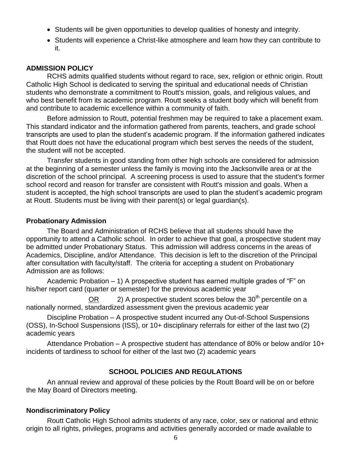- Students will be given opportunities to develop qualities of honesty and integrity.
- Students will experience a Christ-like atmosphere and learn how they can contribute to it.

## **ADMISSION POLICY**

RCHS admits qualified students without regard to race, sex, religion or ethnic origin. Routt Catholic High School is dedicated to serving the spiritual and educational needs of Christian students who demonstrate a commitment to Routt's mission, goals, and religious values, and who best benefit from its academic program. Routt seeks a student body which will benefit from and contribute to academic excellence within a community of faith.

Before admission to Routt, potential freshmen may be required to take a placement exam. This standard indicator and the information gathered from parents, teachers, and grade school transcripts are used to plan the student's academic program. If the information gathered indicates that Routt does not have the educational program which best serves the needs of the student, the student will not be accepted.

Transfer students in good standing from other high schools are considered for admission at the beginning of a semester unless the family is moving into the Jacksonville area or at the discretion of the school principal. A screening process is used to assure that the student's former school record and reason for transfer are consistent with Routt's mission and goals. When a student is accepted, the high school transcripts are used to plan the student's academic program at Routt. Students must be living with their parent(s) or legal guardian(s).

## **Probationary Admission**

The Board and Administration of RCHS believe that all students should have the opportunity to attend a Catholic school. In order to achieve that goal, a prospective student may be admitted under Probationary Status. This admission will address concerns in the areas of Academics, Discipline, and/or Attendance. This decision is left to the discretion of the Principal after consultation with faculty/staff. The criteria for accepting a student on Probationary Admission are as follows:

Academic Probation – 1) A prospective student has earned multiple grades of "F" on his/her report card (quarter or semester) for the previous academic year

 $OR$  2) A prospective student scores below the 30<sup>th</sup> percentile on a nationally normed, standardized assessment given the previous academic year

Discipline Probation – A prospective student incurred any Out-of-School Suspensions (OSS), In-School Suspensions (ISS), or 10+ disciplinary referrals for either of the last two (2) academic years

Attendance Probation – A prospective student has attendance of 80% or below and/or 10+ incidents of tardiness to school for either of the last two (2) academic years

## **SCHOOL POLICIES AND REGULATIONS**

An annual review and approval of these policies by the Routt Board will be on or before the May Board of Directors meeting.

## **Nondiscriminatory Policy**

Routt Catholic High School admits students of any race, color, sex or national and ethnic origin to all rights, privileges, programs and activities generally accorded or made available to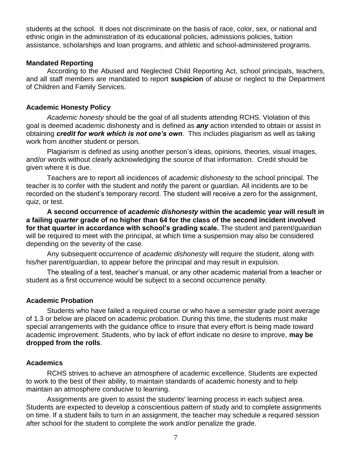students at the school. It does not discriminate on the basis of race, color, sex, or national and ethnic origin in the administration of its educational policies, admissions policies, tuition assistance, scholarships and loan programs, and athletic and school-administered programs.

#### **Mandated Reporting**

According to the Abused and Neglected Child Reporting Act, school principals, teachers, and all staff members are mandated to report **suspicion** of abuse or neglect to the Department of Children and Family Services.

#### **Academic Honesty Policy**

*Academic honesty* should be the goal of all students attending RCHS. Violation of this goal is deemed academic dishonesty and is defined as *any* action intended to obtain or assist in obtaining *credit for work which is not one's own*. This includes plagiarism as well as taking work from another student or person.

Plagiarism is defined as using another person's ideas, opinions, theories, visual images, and/or words without clearly acknowledging the source of that information. Credit should be given where it is due.

Teachers are to report all incidences of *academic dishonesty* to the school principal. The teacher is to confer with the student and notify the parent or guardian. All incidents are to be recorded on the student's temporary record. The student will receive a zero for the assignment, quiz, or test.

**A second occurrence of** *academic dishonesty* **within the academic year will result in a failing** *quarter* **grade of no higher than 64 for the class of the second incident involved for that quarter in accordance with school's grading scale.** The student and parent/guardian will be required to meet with the principal, at which time a suspension may also be considered depending on the severity of the case.

Any subsequent occurrence of *academic dishonesty* will require the student, along with his/her parent/guardian, to appear before the principal and may result in expulsion.

The stealing of a test, teacher's manual, or any other academic material from a teacher or student as a first occurrence would be subject to a second occurrence penalty.

#### **Academic Probation**

Students who have failed a required course or who have a semester grade point average of 1.3 or below are placed on academic probation. During this time, the students must make special arrangements with the guidance office to insure that every effort is being made toward academic improvement. Students, who by lack of effort indicate no desire to improve, **may be dropped from the rolls**.

#### **Academics**

RCHS strives to achieve an atmosphere of academic excellence. Students are expected to work to the best of their ability, to maintain standards of academic honesty and to help maintain an atmosphere conducive to learning.

Assignments are given to assist the students' learning process in each subject area. Students are expected to develop a conscientious pattern of study and to complete assignments on time. If a student fails to turn in an assignment, the teacher may schedule a required session after school for the student to complete the work and/or penalize the grade.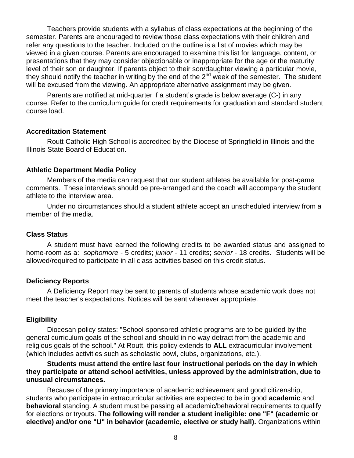Teachers provide students with a syllabus of class expectations at the beginning of the semester. Parents are encouraged to review those class expectations with their children and refer any questions to the teacher. Included on the outline is a list of movies which may be viewed in a given course. Parents are encouraged to examine this list for language, content, or presentations that they may consider objectionable or inappropriate for the age or the maturity level of their son or daughter. If parents object to their son/daughter viewing a particular movie, they should notify the teacher in writing by the end of the 2<sup>nd</sup> week of the semester. The student will be excused from the viewing. An appropriate alternative assignment may be given.

Parents are notified at mid-quarter if a student's grade is below average (C-) in any course. Refer to the curriculum guide for credit requirements for graduation and standard student course load.

#### **Accreditation Statement**

Routt Catholic High School is accredited by the Diocese of Springfield in Illinois and the Illinois State Board of Education.

#### **Athletic Department Media Policy**

Members of the media can request that our student athletes be available for post-game comments. These interviews should be pre-arranged and the coach will accompany the student athlete to the interview area.

Under no circumstances should a student athlete accept an unscheduled interview from a member of the media.

#### **Class Status**

A student must have earned the following credits to be awarded status and assigned to home-room as a: *sophomore* - 5 credits; *junior* - 11 credits; *senior* - 18 credits. Students will be allowed/required to participate in all class activities based on this credit status.

#### **Deficiency Reports**

A Deficiency Report may be sent to parents of students whose academic work does not meet the teacher's expectations. Notices will be sent whenever appropriate.

#### **Eligibility**

Diocesan policy states: "School-sponsored athletic programs are to be guided by the general curriculum goals of the school and should in no way detract from the academic and religious goals of the school." At Routt, this policy extends to **ALL** extracurricular involvement (which includes activities such as scholastic bowl, clubs, organizations, etc.).

#### **Students must attend the entire last four instructional periods on the day in which they participate or attend school activities, unless approved by the administration, due to unusual circumstances.**

Because of the primary importance of academic achievement and good citizenship, students who participate in extracurricular activities are expected to be in good **academic** and **behavioral** standing. A student must be passing all academic/behavioral requirements to qualify for elections or tryouts. **The following will render a student ineligible: one "F" (academic or elective) and/or one "U" in behavior (academic, elective or study hall).** Organizations within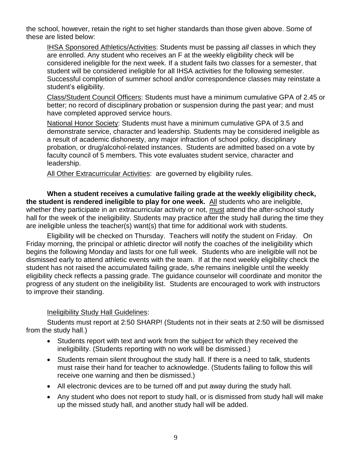the school, however, retain the right to set higher standards than those given above. Some of these are listed below:

IHSA Sponsored Athletics/Activities: Students must be passing *all* classes in which they are enrolled. Any student who receives an F at the weekly eligibility check will be considered ineligible for the next week. If a student fails two classes for a semester, that student will be considered ineligible for all IHSA activities for the following semester. Successful completion of summer school and/or correspondence classes may reinstate a student's eligibility.

Class/Student Council Officers: Students must have a minimum cumulative GPA of 2.45 or better; no record of disciplinary probation or suspension during the past year; and must have completed approved service hours.

National Honor Society: Students must have a minimum cumulative GPA of 3.5 and demonstrate service, character and leadership. Students may be considered ineligible as a result of academic dishonesty, any major infraction of school policy, disciplinary probation, or drug/alcohol-related instances. Students are admitted based on a vote by faculty council of 5 members. This vote evaluates student service, character and leadership.

All Other Extracurricular Activities: are governed by eligibility rules.

**When a student receives a cumulative failing grade at the weekly eligibility check, the student is rendered ineligible to play for one week.** All students who are ineligible, whether they participate in an extracurricular activity or not, must attend the after-school study hall for the week of the ineligibility. Students may practice after the study hall during the time they are ineligible unless the teacher(s) want(s) that time for additional work with students.

Eligibility will be checked on Thursday. Teachers will notify the student on Friday. On Friday morning, the principal or athletic director will notify the coaches of the ineligibility which begins the following Monday and lasts for one full week. Students who are ineligible will not be dismissed early to attend athletic events with the team. If at the next weekly eligibility check the student has not raised the accumulated failing grade, s/he remains ineligible until the weekly eligibility check reflects a passing grade. The guidance counselor will coordinate and monitor the progress of any student on the ineligibility list. Students are encouraged to work with instructors to improve their standing.

## Ineligibility Study Hall Guidelines:

Students must report at 2:50 SHARP! (Students not in their seats at 2:50 will be dismissed from the study hall.)

- Students report with text and work from the subject for which they received the ineligibility. (Students reporting with no work will be dismissed.)
- Students remain silent throughout the study hall. If there is a need to talk, students must raise their hand for teacher to acknowledge. (Students failing to follow this will receive one warning and then be dismissed.)
- All electronic devices are to be turned off and put away during the study hall.
- Any student who does not report to study hall, or is dismissed from study hall will make up the missed study hall, and another study hall will be added.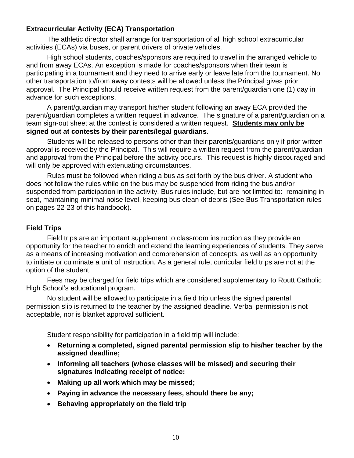## **Extracurricular Activity (ECA) Transportation**

The athletic director shall arrange for transportation of all high school extracurricular activities (ECAs) via buses, or parent drivers of private vehicles.

High school students, coaches/sponsors are required to travel in the arranged vehicle to and from away ECAs. An exception is made for coaches/sponsors when their team is participating in a tournament and they need to arrive early or leave late from the tournament. No other transportation to/from away contests will be allowed unless the Principal gives prior approval. The Principal should receive written request from the parent/guardian one (1) day in advance for such exceptions.

A parent/guardian may transport his/her student following an away ECA provided the parent/guardian completes a written request in advance. The signature of a parent/guardian on a team sign-out sheet at the contest is considered a written request. **Students may only be signed out at contests by their parents/legal guardians**.

Students will be released to persons other than their parents/guardians only if prior written approval is received by the Principal. This will require a written request from the parent/guardian and approval from the Principal before the activity occurs. This request is highly discouraged and will only be approved with extenuating circumstances.

Rules must be followed when riding a bus as set forth by the bus driver. A student who does not follow the rules while on the bus may be suspended from riding the bus and/or suspended from participation in the activity. Bus rules include, but are not limited to: remaining in seat, maintaining minimal noise level, keeping bus clean of debris (See Bus Transportation rules on pages 22-23 of this handbook).

## **Field Trips**

Field trips are an important supplement to classroom instruction as they provide an opportunity for the teacher to enrich and extend the learning experiences of students. They serve as a means of increasing motivation and comprehension of concepts, as well as an opportunity to initiate or culminate a unit of instruction. As a general rule, curricular field trips are not at the option of the student.

Fees may be charged for field trips which are considered supplementary to Routt Catholic High School's educational program.

No student will be allowed to participate in a field trip unless the signed parental permission slip is returned to the teacher by the assigned deadline. Verbal permission is not acceptable, nor is blanket approval sufficient.

Student responsibility for participation in a field trip will include:

- **Returning a completed, signed parental permission slip to his/her teacher by the assigned deadline;**
- **Informing all teachers (whose classes will be missed) and securing their signatures indicating receipt of notice;**
- **Making up all work which may be missed;**
- **Paying in advance the necessary fees, should there be any;**
- **Behaving appropriately on the field trip**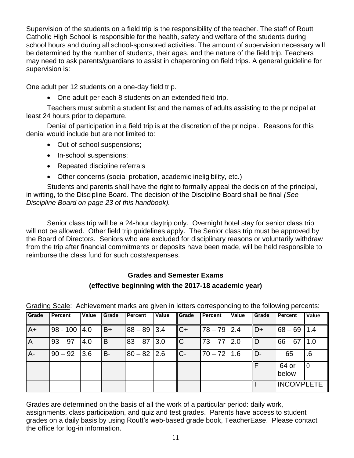Supervision of the students on a field trip is the responsibility of the teacher. The staff of Routt Catholic High School is responsible for the health, safety and welfare of the students during school hours and during all school-sponsored activities. The amount of supervision necessary will be determined by the number of students, their ages, and the nature of the field trip. Teachers may need to ask parents/guardians to assist in chaperoning on field trips. A general guideline for supervision is:

One adult per 12 students on a one-day field trip.

One adult per each 8 students on an extended field trip.

Teachers must submit a student list and the names of adults assisting to the principal at least 24 hours prior to departure.

Denial of participation in a field trip is at the discretion of the principal. Reasons for this denial would include but are not limited to:

- Out-of-school suspensions;
- In-school suspensions;
- Repeated discipline referrals
- Other concerns (social probation, academic ineligibility, etc.)

Students and parents shall have the right to formally appeal the decision of the principal, in writing, to the Discipline Board. The decision of the Discipline Board shall be final *(See Discipline Board on page 23 of this handbook).*

Senior class trip will be a 24-hour daytrip only. Overnight hotel stay for senior class trip will not be allowed. Other field trip guidelines apply. The Senior class trip must be approved by the Board of Directors. Seniors who are excluded for disciplinary reasons or voluntarily withdraw from the trip after financial commitments or deposits have been made, will be held responsible to reimburse the class fund for such costs/expenses.

## **Grades and Semester Exams (effective beginning with the 2017-18 academic year)**

| Grade          | Percent       | Value | Grade | Percent       | Value | Grade          | Percent        | Value | <b>Grade</b> | Percent        | Value          |
|----------------|---------------|-------|-------|---------------|-------|----------------|----------------|-------|--------------|----------------|----------------|
| $A+$           | 98 - 100  4.0 |       | lB+   | $88 - 89$ 3.4 |       | $ C+$          | $ 78 - 79 2.4$ |       | $D+$         | 68 – 69   1.4  |                |
| $\overline{A}$ | $93 - 97$     | 4.0   | lB.   | $83 - 87$ 3.0 |       | $\overline{C}$ | $ 73 - 77 2.0$ |       | ID           | $66 - 67$      | $\vert$ 1.0    |
| $A -$          | 90 – 92   3.6 |       | IB-   | $80 - 82$ 2.6 |       | IC-            | $ 70 - 72 1.6$ |       | ID-          | 65             | .6             |
|                |               |       |       |               |       |                |                |       |              | 64 or<br>below | $\overline{0}$ |
|                |               |       |       |               |       |                |                |       |              | INCOMPLETE     |                |

Grading Scale: Achievement marks are given in letters corresponding to the following percents:

Grades are determined on the basis of all the work of a particular period: daily work, assignments, class participation, and quiz and test grades. Parents have access to student grades on a daily basis by using Routt's web-based grade book, TeacherEase. Please contact the office for log-in information.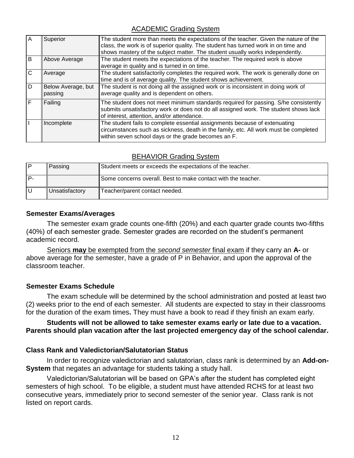## ACADEMIC Grading System

| A | Superior                      | The student more than meets the expectations of the teacher. Given the nature of the<br>class, the work is of superior quality. The student has turned work in on time and<br>shows mastery of the subject matter. The student usually works independently. |
|---|-------------------------------|-------------------------------------------------------------------------------------------------------------------------------------------------------------------------------------------------------------------------------------------------------------|
| B | Above Average                 | The student meets the expectations of the teacher. The required work is above<br>average in quality and is turned in on time.                                                                                                                               |
|   | Average                       | The student satisfactorily completes the required work. The work is generally done on<br>time and is of average quality. The student shows achievement.                                                                                                     |
| D | Below Average, but<br>passing | The student is not doing all the assigned work or is inconsistent in doing work of<br>average quality and is dependent on others.                                                                                                                           |
|   | Failing                       | The student does not meet minimum standards required for passing. S/he consistently<br>submits unsatisfactory work or does not do all assigned work. The student shows lack<br>of interest, attention, and/or attendance.                                   |
|   | Incomplete                    | The student fails to complete essential assignments because of extenuating<br>circumstances such as sickness, death in the family, etc. All work must be completed<br>within seven school days or the grade becomes an F.                                   |

## BEHAVIOR Grading System

| Passing        | Student meets or exceeds the expectations of the teacher.     |
|----------------|---------------------------------------------------------------|
|                | Some concerns overall. Best to make contact with the teacher. |
| Unsatisfactory | Teacher/parent contact needed.                                |

## **Semester Exams/Averages**

The semester exam grade counts one-fifth (20%) and each quarter grade counts two-fifths (40%) of each semester grade. Semester grades are recorded on the student's permanent academic record.

Seniors **may** be exempted from the *second semester* final exam if they carry an **A-** or above average for the semester, have a grade of P in Behavior, and upon the approval of the classroom teacher.

## **Semester Exams Schedule**

The exam schedule will be determined by the school administration and posted at least two (2) weeks prior to the end of each semester. All students are expected to stay in their classrooms for the duration of the exam times**.** They must have a book to read if they finish an exam early.

## **Students will not be allowed to take semester exams early or late due to a vacation. Parents should plan vacation after the last projected emergency day of the school calendar.**

## **Class Rank and Valedictorian/Salutatorian Status**

In order to recognize valedictorian and salutatorian, class rank is determined by an **Add-on-System** that negates an advantage for students taking a study hall.

Valedictorian/Salutatorian will be based on GPA's after the student has completed eight semesters of high school. To be eligible, a student must have attended RCHS for at least two consecutive years, immediately prior to second semester of the senior year. Class rank is not listed on report cards.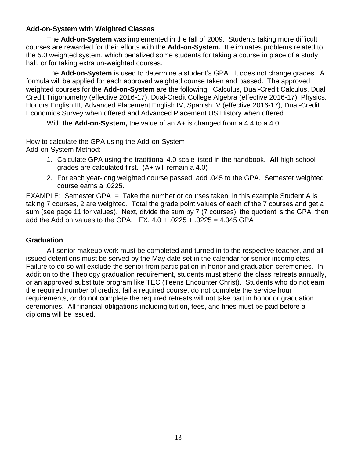## **Add-on-System with Weighted Classes**

The **Add-on-System** was implemented in the fall of 2009. Students taking more difficult courses are rewarded for their efforts with the **Add-on-System.** It eliminates problems related to the 5.0 weighted system, which penalized some students for taking a course in place of a study hall, or for taking extra un-weighted courses.

The **Add-on-System** is used to determine a student's GPA. It does not change grades. A formula will be applied for each approved weighted course taken and passed. The approved weighted courses for the **Add-on-System** are the following: Calculus, Dual-Credit Calculus, Dual Credit Trigonometry (effective 2016-17), Dual-Credit College Algebra (effective 2016-17), Physics, Honors English III, Advanced Placement English IV, Spanish IV (effective 2016-17), Dual-Credit Economics Survey when offered and Advanced Placement US History when offered.

With the **Add-on-System,** the value of an A+ is changed from a 4.4 to a 4.0.

#### How to calculate the GPA using the Add-on-System

Add-on-System Method:

- 1. Calculate GPA using the traditional 4.0 scale listed in the handbook. **All** high school grades are calculated first. (A+ will remain a 4.0)
- 2. For each year-long weighted course passed, add .045 to the GPA. Semester weighted course earns a .0225.

EXAMPLE: Semester GPA = Take the number or courses taken, in this example Student A is taking 7 courses, 2 are weighted. Total the grade point values of each of the 7 courses and get a sum (see page 11 for values). Next, divide the sum by 7 (7 courses), the quotient is the GPA, then add the Add on values to the GPA.  $EX. 4.0 + .0225 + .0225 = 4.045$  GPA

## **Graduation**

All senior makeup work must be completed and turned in to the respective teacher, and all issued detentions must be served by the May date set in the calendar for senior incompletes. Failure to do so will exclude the senior from participation in honor and graduation ceremonies. In addition to the Theology graduation requirement, students must attend the class retreats annually, or an approved substitute program like TEC (Teens Encounter Christ). Students who do not earn the required number of credits, fail a required course, do not complete the service hour requirements, or do not complete the required retreats will not take part in honor or graduation ceremonies. All financial obligations including tuition, fees, and fines must be paid before a diploma will be issued.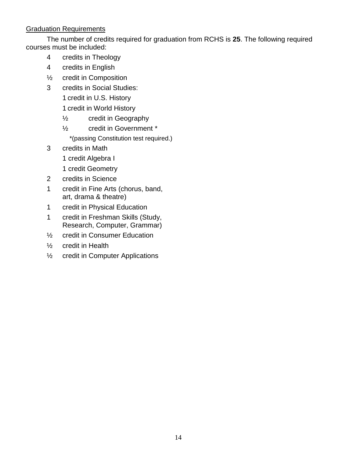## Graduation Requirements

The number of credits required for graduation from RCHS is **25**. The following required courses must be included:

- 4 credits in Theology
- 4 credits in English
- ½ credit in Composition
- 3 credits in Social Studies:
	- 1 credit in U.S. History
	- 1 credit in World History
	- ½ credit in Geography
	- ½ credit in Government \*
		- \*(passing Constitution test required.)
- 3 credits in Math
	- 1 credit Algebra I
	- 1 credit Geometry
- 2 credits in Science
- 1 credit in Fine Arts (chorus, band, art, drama & theatre)
- 1 credit in Physical Education
- 1 credit in Freshman Skills (Study, Research, Computer, Grammar)
- ½ credit in Consumer Education
- ½ credit in Health
- ½ credit in Computer Applications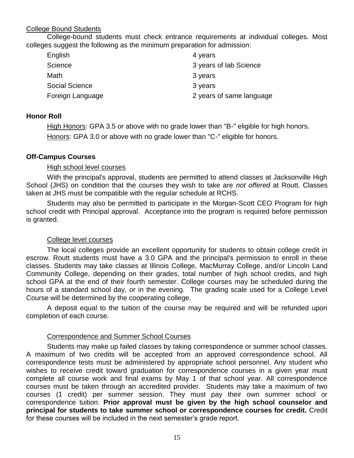## College Bound Students

College-bound students must check entrance requirements at individual colleges. Most colleges suggest the following as the minimum preparation for admission:

| English               | 4 years                  |
|-----------------------|--------------------------|
| Science               | 3 years of lab Science   |
| Math                  | 3 years                  |
| <b>Social Science</b> | 3 years                  |
| Foreign Language      | 2 years of same language |

## **Honor Roll**

High Honors: GPA 3.5 or above with no grade lower than "B-" eligible for high honors. Honors: GPA 3.0 or above with no grade lower than "C-" eligible for honors.

## **Off-Campus Courses**

## High school level courses

With the principal's approval, students are permitted to attend classes at Jacksonville High School (JHS) on condition that the courses they wish to take are *not offered* at Routt. Classes taken at JHS must be compatible with the regular schedule at RCHS.

Students may also be permitted to participate in the Morgan-Scott CEO Program for high school credit with Principal approval. Acceptance into the program is required before permission is granted.

## College level courses

The local colleges provide an excellent opportunity for students to obtain college credit in escrow. Routt students must have a 3.0 GPA and the principal's permission to enroll in these classes. Students may take classes at Illinois College, MacMurray College, and/or Lincoln Land Community College, depending on their grades, total number of high school credits, and high school GPA at the end of their fourth semester. College courses may be scheduled during the hours of a standard school day, or in the evening. The grading scale used for a College Level Course will be determined by the cooperating college.

A deposit equal to the tuition of the course may be required and will be refunded upon completion of each course.

## Correspondence and Summer School Courses

Students may make up failed classes by taking correspondence or summer school classes. A maximum of two credits will be accepted from an approved correspondence school. All correspondence tests must be administered by appropriate school personnel. Any student who wishes to receive credit toward graduation for correspondence courses in a given year must complete all course work and final exams by May 1 of that school year. All correspondence courses must be taken through an accredited provider. Students may take a maximum of two courses (1 credit) per summer session. They must pay their own summer school or correspondence tuition. **Prior approval must be given by the high school counselor and principal for students to take summer school or correspondence courses for credit.** Credit for these courses will be included in the next semester's grade report.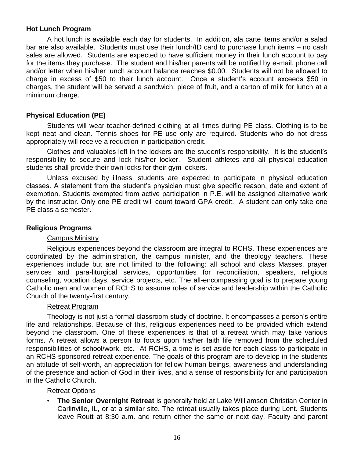## **Hot Lunch Program**

A hot lunch is available each day for students. In addition, ala carte items and/or a salad bar are also available. Students must use their lunch/ID card to purchase lunch items – no cash sales are allowed. Students are expected to have sufficient money in their lunch account to pay for the items they purchase. The student and his/her parents will be notified by e-mail, phone call and/or letter when his/her lunch account balance reaches \$0.00. Students will not be allowed to charge in excess of \$50 to their lunch account. Once a student's account exceeds \$50 in charges, the student will be served a sandwich, piece of fruit, and a carton of milk for lunch at a minimum charge.

## **Physical Education (PE)**

Students will wear teacher-defined clothing at all times during PE class. Clothing is to be kept neat and clean. Tennis shoes for PE use only are required. Students who do not dress appropriately will receive a reduction in participation credit.

Clothes and valuables left in the lockers are the student's responsibility. It is the student's responsibility to secure and lock his/her locker. Student athletes and all physical education students shall provide their own locks for their gym lockers.

Unless excused by illness, students are expected to participate in physical education classes. A statement from the student's physician must give specific reason, date and extent of exemption. Students exempted from active participation in P.E. will be assigned alternative work by the instructor. Only one PE credit will count toward GPA credit. A student can only take one PE class a semester.

#### **Religious Programs**

#### Campus Ministry

Religious experiences beyond the classroom are integral to RCHS. These experiences are coordinated by the administration, the campus minister, and the theology teachers. These experiences include but are not limited to the following: all school and class Masses, prayer services and para-liturgical services, opportunities for reconciliation, speakers, religious counseling, vocation days, service projects, etc. The all-encompassing goal is to prepare young Catholic men and women of RCHS to assume roles of service and leadership within the Catholic Church of the twenty-first century.

#### Retreat Program

Theology is not just a formal classroom study of doctrine. It encompasses a person's entire life and relationships. Because of this, religious experiences need to be provided which extend beyond the classroom. One of these experiences is that of a retreat which may take various forms. A retreat allows a person to focus upon his/her faith life removed from the scheduled responsibilities of school/work, etc. At RCHS, a time is set aside for each class to participate in an RCHS-sponsored retreat experience. The goals of this program are to develop in the students an attitude of self-worth, an appreciation for fellow human beings, awareness and understanding of the presence and action of God in their lives, and a sense of responsibility for and participation in the Catholic Church.

#### Retreat Options

• **The Senior Overnight Retreat** is generally held at Lake Williamson Christian Center in Carlinville, IL, or at a similar site. The retreat usually takes place during Lent. Students leave Routt at 8:30 a.m. and return either the same or next day. Faculty and parent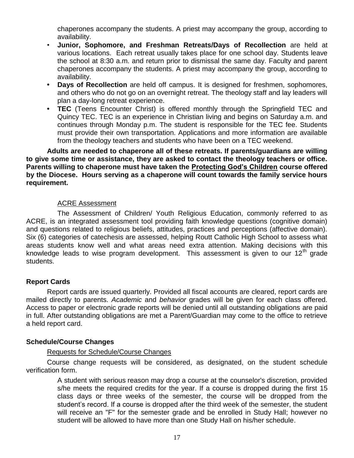chaperones accompany the students. A priest may accompany the group, according to availability.

- **Junior, Sophomore, and Freshman Retreats/Days of Recollection** are held at various locations. Each retreat usually takes place for one school day. Students leave the school at 8:30 a.m. and return prior to dismissal the same day. Faculty and parent chaperones accompany the students. A priest may accompany the group, according to availability.
- **Days of Recollection** are held off campus. It is designed for freshmen, sophomores, and others who do not go on an overnight retreat. The theology staff and lay leaders will plan a day-long retreat experience.
- **• TEC** (Teens Encounter Christ) is offered monthly through the Springfield TEC and Quincy TEC. TEC is an experience in Christian living and begins on Saturday a.m. and continues through Monday p.m. The student is responsible for the TEC fee. Students must provide their own transportation. Applications and more information are available from the theology teachers and students who have been on a TEC weekend.

## **Adults are needed to chaperone all of these retreats. If parents/guardians are willing to give some time or assistance, they are asked to contact the theology teachers or office. Parents willing to chaperone must have taken the Protecting God's Children course offered by the Diocese. Hours serving as a chaperone will count towards the family service hours requirement.**

## ACRE Assessment

The Assessment of Children/ Youth Religious Education, commonly referred to as ACRE, is an integrated assessment tool providing faith knowledge questions (cognitive domain) and questions related to religious beliefs, attitudes, practices and perceptions (affective domain). Six (6) categories of catechesis are assessed, helping Routt Catholic High School to assess what areas students know well and what areas need extra attention. Making decisions with this knowledge leads to wise program development. This assessment is given to our  $12<sup>th</sup>$  grade students.

## **Report Cards**

Report cards are issued quarterly. Provided all fiscal accounts are cleared, report cards are mailed directly to parents. *Academic* and *behavior* grades will be given for each class offered. Access to paper or electronic grade reports will be denied until all outstanding obligations are paid in full. After outstanding obligations are met a Parent/Guardian may come to the office to retrieve a held report card.

## **Schedule/Course Changes**

## Requests for Schedule/Course Changes

Course change requests will be considered, as designated, on the student schedule verification form.

> A student with serious reason may drop a course at the counselor's discretion, provided s/he meets the required credits for the year. If a course is dropped during the first 15 class days or three weeks of the semester, the course will be dropped from the student's record. If a course is dropped after the third week of the semester, the student will receive an "F" for the semester grade and be enrolled in Study Hall; however no student will be allowed to have more than one Study Hall on his/her schedule.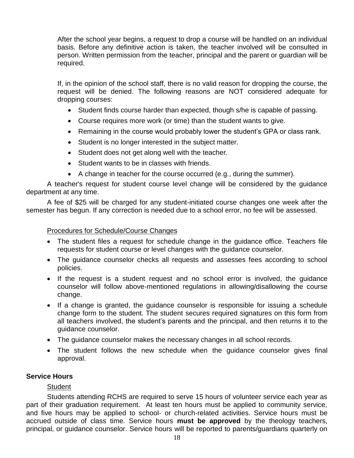After the school year begins, a request to drop a course will be handled on an individual basis. Before any definitive action is taken, the teacher involved will be consulted in person. Written permission from the teacher, principal and the parent or guardian will be required.

If, in the opinion of the school staff, there is no valid reason for dropping the course, the request will be denied. The following reasons are NOT considered adequate for dropping courses:

- Student finds course harder than expected, though s/he is capable of passing.
- Course requires more work (or time) than the student wants to give.
- Remaining in the course would probably lower the student's GPA or class rank.
- Student is no longer interested in the subject matter.
- Student does not get along well with the teacher.
- Student wants to be in classes with friends.
- A change in teacher for the course occurred (e.g., during the summer).

A teacher's request for student course level change will be considered by the guidance department at any time.

A fee of \$25 will be charged for any student-initiated course changes one week after the semester has begun. If any correction is needed due to a school error, no fee will be assessed.

## Procedures for Schedule/Course Changes

- The student files a request for schedule change in the guidance office. Teachers file requests for student course or level changes with the guidance counselor.
- The guidance counselor checks all requests and assesses fees according to school policies.
- If the request is a student request and no school error is involved, the quidance counselor will follow above-mentioned regulations in allowing/disallowing the course change.
- If a change is granted, the guidance counselor is responsible for issuing a schedule change form to the student. The student secures required signatures on this form from all teachers involved, the student's parents and the principal, and then returns it to the guidance counselor.
- The guidance counselor makes the necessary changes in all school records.
- The student follows the new schedule when the guidance counselor gives final approval.

## **Service Hours**

## **Student**

Students attending RCHS are required to serve 15 hours of volunteer service each year as part of their graduation requirement. At least ten hours must be applied to community service, and five hours may be applied to school- or church-related activities. Service hours must be accrued outside of class time. Service hours **must be approved** by the theology teachers, principal, or guidance counselor. Service hours will be reported to parents/guardians quarterly on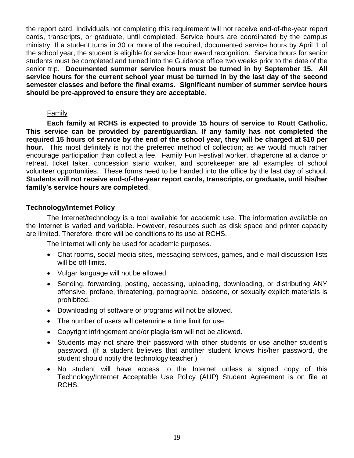the report card. Individuals not completing this requirement will not receive end-of-the-year report cards, transcripts, or graduate, until completed. Service hours are coordinated by the campus ministry. If a student turns in 30 or more of the required, documented service hours by April 1 of the school year, the student is eligible for service hour award recognition. Service hours for senior students must be completed and turned into the Guidance office two weeks prior to the date of the senior trip. **Documented summer service hours must be turned in by September 15. All service hours for the current school year must be turned in by the last day of the second semester classes and before the final exams. Significant number of summer service hours should be pre-approved to ensure they are acceptable**.

#### Family

**Each family at RCHS is expected to provide 15 hours of service to Routt Catholic. This service can be provided by parent/guardian. If any family has not completed the required 15 hours of service by the end of the school year, they will be charged at \$10 per hour.** This most definitely is not the preferred method of collection; as we would much rather encourage participation than collect a fee. Family Fun Festival worker, chaperone at a dance or retreat, ticket taker, concession stand worker, and scorekeeper are all examples of school volunteer opportunities. These forms need to be handed into the office by the last day of school. **Students will not receive end-of-the-year report cards, transcripts, or graduate, until his/her family's service hours are completed**.

## **Technology/Internet Policy**

The Internet/technology is a tool available for academic use. The information available on the Internet is varied and variable. However, resources such as disk space and printer capacity are limited. Therefore, there will be conditions to its use at RCHS.

The Internet will only be used for academic purposes.

- Chat rooms, social media sites, messaging services, games, and e-mail discussion lists will be off-limits.
- Vulgar language will not be allowed.
- Sending, forwarding, posting, accessing, uploading, downloading, or distributing ANY offensive, profane, threatening, pornographic, obscene, or sexually explicit materials is prohibited.
- Downloading of software or programs will not be allowed.
- The number of users will determine a time limit for use.
- Copyright infringement and/or plagiarism will not be allowed.
- Students may not share their password with other students or use another student's password. (If a student believes that another student knows his/her password, the student should notify the technology teacher.)
- No student will have access to the Internet unless a signed copy of this Technology/Internet Acceptable Use Policy (AUP) Student Agreement is on file at RCHS.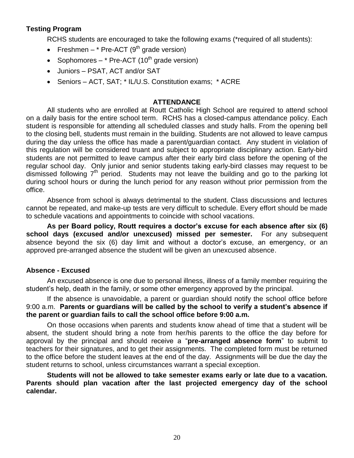## **Testing Program**

RCHS students are encouraged to take the following exams (\*required of all students):

- Freshmen  $*$  Pre-ACT (9<sup>th</sup> grade version)
- Sophomores \* Pre-ACT  $(10^{th}$  grade version)
- Juniors PSAT, ACT and/or SAT
- Seniors ACT, SAT; \* IL/U.S. Constitution exams; \* ACRE

#### **ATTENDANCE**

All students who are enrolled at Routt Catholic High School are required to attend school on a daily basis for the entire school term. RCHS has a closed-campus attendance policy. Each student is responsible for attending all scheduled classes and study halls. From the opening bell to the closing bell, students must remain in the building. Students are not allowed to leave campus during the day unless the office has made a parent/guardian contact. Any student in violation of this regulation will be considered truant and subject to appropriate disciplinary action. Early-bird students are not permitted to leave campus after their early bird class before the opening of the regular school day. Only junior and senior students taking early-bird classes may request to be dismissed following  $7<sup>th</sup>$  period. Students may not leave the building and go to the parking lot during school hours or during the lunch period for any reason without prior permission from the office.

Absence from school is always detrimental to the student. Class discussions and lectures cannot be repeated, and make-up tests are very difficult to schedule. Every effort should be made to schedule vacations and appointments to coincide with school vacations.

**As per Board policy, Routt requires a doctor's excuse for each absence after six (6) school days (excused and/or unexcused) missed per semester.** For any subsequent absence beyond the six (6) day limit and without a doctor's excuse, an emergency, or an approved pre-arranged absence the student will be given an unexcused absence.

#### **Absence - Excused**

An excused absence is one due to personal illness, illness of a family member requiring the student's help, death in the family, or some other emergency approved by the principal.

If the absence is unavoidable, a parent or guardian should notify the school office before 9:00 a.m. **Parents or guardians will be called by the school to verify a student's absence if the parent or guardian fails to call the school office before 9:00 a.m.**

On those occasions when parents and students know ahead of time that a student will be absent, the student should bring a note from her/his parents to the office the day before for approval by the principal and should receive a "**pre-arranged absence form**" to submit to teachers for their signatures, and to get their assignments. The completed form must be returned to the office before the student leaves at the end of the day. Assignments will be due the day the student returns to school, unless circumstances warrant a special exception.

**Students will not be allowed to take semester exams early or late due to a vacation. Parents should plan vacation after the last projected emergency day of the school calendar.**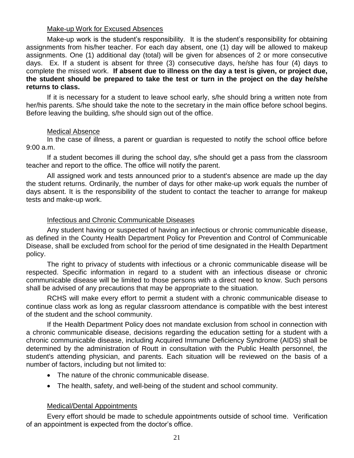#### Make-up Work for Excused Absences

Make-up work is the student's responsibility. It is the student's responsibility for obtaining assignments from his/her teacher. For each day absent, one (1) day will be allowed to makeup assignments. One (1) additional day (total) will be given for absences of 2 or more consecutive days. Ex. If a student is absent for three (3) consecutive days, he/she has four (4) days to complete the missed work. **If absent due to illness on the day a test is given, or project due, the student should be prepared to take the test or turn in the project on the day he/she returns to class.**

If it is necessary for a student to leave school early, s/he should bring a written note from her/his parents. S/he should take the note to the secretary in the main office before school begins. Before leaving the building, s/he should sign out of the office.

## Medical Absence

In the case of illness, a parent or guardian is requested to notify the school office before 9:00 a.m.

If a student becomes ill during the school day, s/he should get a pass from the classroom teacher and report to the office. The office will notify the parent.

All assigned work and tests announced prior to a student's absence are made up the day the student returns. Ordinarily, the number of days for other make-up work equals the number of days absent. It is the responsibility of the student to contact the teacher to arrange for makeup tests and make-up work.

#### Infectious and Chronic Communicable Diseases

Any student having or suspected of having an infectious or chronic communicable disease, as defined in the County Health Department Policy for Prevention and Control of Communicable Disease, shall be excluded from school for the period of time designated in the Health Department policy.

The right to privacy of students with infectious or a chronic communicable disease will be respected. Specific information in regard to a student with an infectious disease or chronic communicable disease will be limited to those persons with a direct need to know. Such persons shall be advised of any precautions that may be appropriate to the situation.

RCHS will make every effort to permit a student with a chronic communicable disease to continue class work as long as regular classroom attendance is compatible with the best interest of the student and the school community.

If the Health Department Policy does not mandate exclusion from school in connection with a chronic communicable disease, decisions regarding the education setting for a student with a chronic communicable disease, including Acquired Immune Deficiency Syndrome (AIDS) shall be determined by the administration of Routt in consultation with the Public Health personnel, the student's attending physician, and parents. Each situation will be reviewed on the basis of a number of factors, including but not limited to:

- The nature of the chronic communicable disease.
- The health, safety, and well-being of the student and school community.

## Medical/Dental Appointments

Every effort should be made to schedule appointments outside of school time. Verification of an appointment is expected from the doctor's office.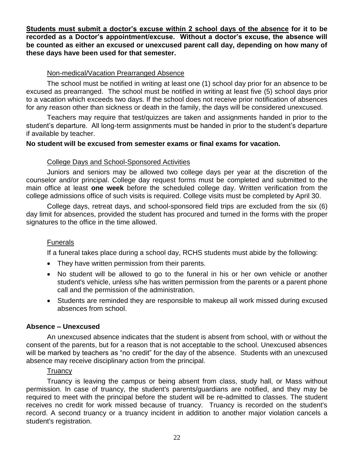**Students must submit a doctor's excuse within 2 school days of the absence for it to be recorded as a Doctor's appointment/excuse. Without a doctor's excuse, the absence will be counted as either an excused or unexcused parent call day, depending on how many of these days have been used for that semester.**

## Non-medical/Vacation Prearranged Absence

The school must be notified in writing at least one (1) school day prior for an absence to be excused as prearranged.The school must be notified in writing at least five (5) school days prior to a vacation which exceeds two days. If the school does not receive prior notification of absences for any reason other than sickness or death in the family, the days will be considered unexcused.

Teachers may require that test/quizzes are taken and assignments handed in prior to the student's departure. All long-term assignments must be handed in prior to the student's departure if available by teacher.

## **No student will be excused from semester exams or final exams for vacation.**

## College Days and School-Sponsored Activities

Juniors and seniors may be allowed two college days per year at the discretion of the counselor and/or principal. College day request forms must be completed and submitted to the main office at least **one week** before the scheduled college day. Written verification from the college admissions office of such visits is required. College visits must be completed by April 30.

College days, retreat days, and school-sponsored field trips are excluded from the six (6) day limit for absences, provided the student has procured and turned in the forms with the proper signatures to the office in the time allowed.

## Funerals

If a funeral takes place during a school day, RCHS students must abide by the following:

- They have written permission from their parents.
- No student will be allowed to go to the funeral in his or her own vehicle or another student's vehicle, unless s/he has written permission from the parents or a parent phone call and the permission of the administration.
- Students are reminded they are responsible to makeup all work missed during excused absences from school.

## **Absence – Unexcused**

An unexcused absence indicates that the student is absent from school, with or without the consent of the parents, but for a reason that is not acceptable to the school. Unexcused absences will be marked by teachers as "no credit" for the day of the absence. Students with an unexcused absence may receive disciplinary action from the principal.

## **Truancy**

Truancy is leaving the campus or being absent from class, study hall, or Mass without permission. In case of truancy, the student's parents/guardians are notified, and they may be required to meet with the principal before the student will be re-admitted to classes. The student receives no credit for work missed because of truancy. Truancy is recorded on the student's record. A second truancy or a truancy incident in addition to another major violation cancels a student's registration.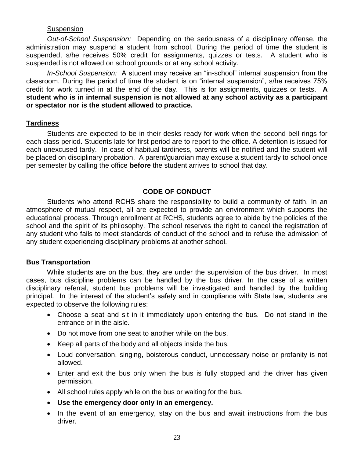#### **Suspension**

*Out-of-School Suspension:* Depending on the seriousness of a disciplinary offense, the administration may suspend a student from school. During the period of time the student is suspended, s/he receives 50% credit for assignments, quizzes or tests. A student who is suspended is not allowed on school grounds or at any school activity.

*In-School Suspension:* A student may receive an "in-school" internal suspension from the classroom. During the period of time the student is on "internal suspension", s/he receives 75% credit for work turned in at the end of the day. This is for assignments, quizzes or tests. **A student who is in internal suspension is not allowed at any school activity as a participant or spectator nor is the student allowed to practice.**

#### **Tardiness**

Students are expected to be in their desks ready for work when the second bell rings for each class period. Students late for first period are to report to the office. A detention is issued for each unexcused tardy. In case of habitual tardiness, parents will be notified and the student will be placed on disciplinary probation. A parent/guardian may excuse a student tardy to school once per semester by calling the office **before** the student arrives to school that day.

## **CODE OF CONDUCT**

Students who attend RCHS share the responsibility to build a community of faith. In an atmosphere of mutual respect, all are expected to provide an environment which supports the educational process. Through enrollment at RCHS, students agree to abide by the policies of the school and the spirit of its philosophy. The school reserves the right to cancel the registration of any student who fails to meet standards of conduct of the school and to refuse the admission of any student experiencing disciplinary problems at another school.

## **Bus Transportation**

While students are on the bus, they are under the supervision of the bus driver. In most cases, bus discipline problems can be handled by the bus driver. In the case of a written disciplinary referral, student bus problems will be investigated and handled by the building principal. In the interest of the student's safety and in compliance with State law, students are expected to observe the following rules:

- Choose a seat and sit in it immediately upon entering the bus. Do not stand in the entrance or in the aisle.
- Do not move from one seat to another while on the bus.
- Keep all parts of the body and all objects inside the bus.
- Loud conversation, singing, boisterous conduct, unnecessary noise or profanity is not allowed.
- Enter and exit the bus only when the bus is fully stopped and the driver has given permission.
- All school rules apply while on the bus or waiting for the bus.
- **Use the emergency door only in an emergency.**
- In the event of an emergency, stay on the bus and await instructions from the bus driver.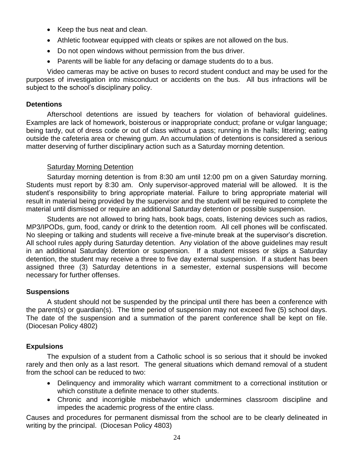- Keep the bus neat and clean.
- Athletic footwear equipped with cleats or spikes are not allowed on the bus.
- Do not open windows without permission from the bus driver.
- Parents will be liable for any defacing or damage students do to a bus.

Video cameras may be active on buses to record student conduct and may be used for the purposes of investigation into misconduct or accidents on the bus. All bus infractions will be subject to the school's disciplinary policy.

## **Detentions**

Afterschool detentions are issued by teachers for violation of behavioral guidelines. Examples are lack of homework, boisterous or inappropriate conduct; profane or vulgar language; being tardy, out of dress code or out of class without a pass; running in the halls; littering; eating outside the cafeteria area or chewing gum. An accumulation of detentions is considered a serious matter deserving of further disciplinary action such as a Saturday morning detention.

## Saturday Morning Detention

Saturday morning detention is from 8:30 am until 12:00 pm on a given Saturday morning. Students must report by 8:30 am. Only supervisor-approved material will be allowed. It is the student's responsibility to bring appropriate material. Failure to bring appropriate material will result in material being provided by the supervisor and the student will be required to complete the material until dismissed or require an additional Saturday detention or possible suspension.

Students are not allowed to bring hats, book bags, coats, listening devices such as radios, MP3/IPODs, gum, food, candy or drink to the detention room. All cell phones will be confiscated. No sleeping or talking and students will receive a five-minute break at the supervisor's discretion. All school rules apply during Saturday detention. Any violation of the above guidelines may result in an additional Saturday detention or suspension. If a student misses or skips a Saturday detention, the student may receive a three to five day external suspension. If a student has been assigned three (3) Saturday detentions in a semester, external suspensions will become necessary for further offenses.

## **Suspensions**

A student should not be suspended by the principal until there has been a conference with the parent(s) or guardian(s). The time period of suspension may not exceed five (5) school days. The date of the suspension and a summation of the parent conference shall be kept on file. (Diocesan Policy 4802)

## **Expulsions**

The expulsion of a student from a Catholic school is so serious that it should be invoked rarely and then only as a last resort. The general situations which demand removal of a student from the school can be reduced to two:

- Delinquency and immorality which warrant commitment to a correctional institution or which constitute a definite menace to other students.
- Chronic and incorrigible misbehavior which undermines classroom discipline and impedes the academic progress of the entire class.

Causes and procedures for permanent dismissal from the school are to be clearly delineated in writing by the principal. (Diocesan Policy 4803)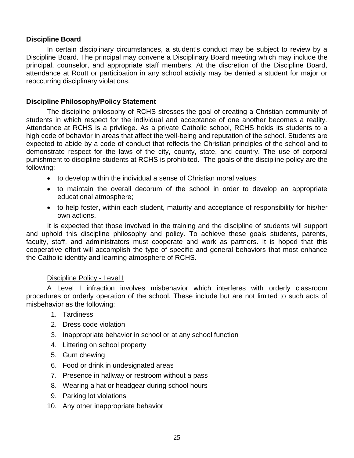## **Discipline Board**

In certain disciplinary circumstances, a student's conduct may be subject to review by a Discipline Board. The principal may convene a Disciplinary Board meeting which may include the principal, counselor, and appropriate staff members. At the discretion of the Discipline Board, attendance at Routt or participation in any school activity may be denied a student for major or reoccurring disciplinary violations.

## **Discipline Philosophy/Policy Statement**

The discipline philosophy of RCHS stresses the goal of creating a Christian community of students in which respect for the individual and acceptance of one another becomes a reality. Attendance at RCHS is a privilege. As a private Catholic school, RCHS holds its students to a high code of behavior in areas that affect the well-being and reputation of the school. Students are expected to abide by a code of conduct that reflects the Christian principles of the school and to demonstrate respect for the laws of the city, county, state, and country. The use of corporal punishment to discipline students at RCHS is prohibited. The goals of the discipline policy are the following:

- to develop within the individual a sense of Christian moral values;
- to maintain the overall decorum of the school in order to develop an appropriate educational atmosphere;
- to help foster, within each student, maturity and acceptance of responsibility for his/her own actions.

It is expected that those involved in the training and the discipline of students will support and uphold this discipline philosophy and policy. To achieve these goals students, parents, faculty, staff, and administrators must cooperate and work as partners. It is hoped that this cooperative effort will accomplish the type of specific and general behaviors that most enhance the Catholic identity and learning atmosphere of RCHS.

## Discipline Policy - Level I

A Level I infraction involves misbehavior which interferes with orderly classroom procedures or orderly operation of the school. These include but are not limited to such acts of misbehavior as the following:

- 1. Tardiness
- 2. Dress code violation
- 3. Inappropriate behavior in school or at any school function
- 4. Littering on school property
- 5. Gum chewing
- 6. Food or drink in undesignated areas
- 7. Presence in hallway or restroom without a pass
- 8. Wearing a hat or headgear during school hours
- 9. Parking lot violations
- 10. Any other inappropriate behavior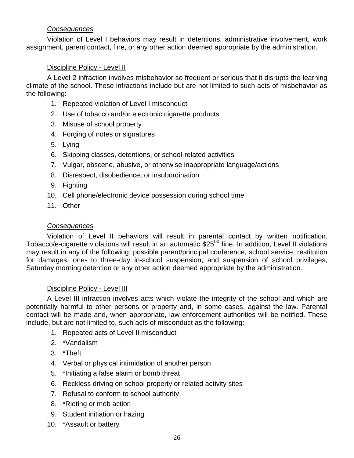## *Consequences*

Violation of Level I behaviors may result in detentions, administrative involvement, work assignment, parent contact, fine, or any other action deemed appropriate by the administration.

## Discipline Policy - Level II

A Level 2 infraction involves misbehavior so frequent or serious that it disrupts the learning climate of the school. These infractions include but are not limited to such acts of misbehavior as the following:

- 1. Repeated violation of Level I misconduct
- 2. Use of tobacco and/or electronic cigarette products
- 3. Misuse of school property
- 4. Forging of notes or signatures
- 5. Lying
- 6. Skipping classes, detentions, or school-related activities
- 7. Vulgar, obscene, abusive, or otherwise inappropriate language/actions
- 8. Disrespect, disobedience, or insubordination
- 9. Fighting
- 10. Cell phone/electronic device possession during school time
- 11. Other

## *Consequences*

Violation of Level II behaviors will result in parental contact by written notification. Tobacco/e-cigarette violations will result in an automatic  $$25<sup>00</sup>$  fine. In addition, Level II violations may result in any of the following: possible parent/principal conference, school service, restitution for damages, one- to three-day in-school suspension, and suspension of school privileges, Saturday morning detention or any other action deemed appropriate by the administration.

## Discipline Policy - Level III

A Level III infraction involves acts which violate the integrity of the school and which are potentially harmful to other persons or property and, in some cases, against the law. Parental contact will be made and, when appropriate, law enforcement authorities will be notified. These include, but are not limited to, such acts of misconduct as the following:

- 1. Repeated acts of Level II misconduct
- 2. \*Vandalism
- 3. \*Theft
- 4. Verbal or physical intimidation of another person
- 5. \*Initiating a false alarm or bomb threat
- 6. Reckless driving on school property or related activity sites
- 7. Refusal to conform to school authority
- 8. \*Rioting or mob action
- 9. Student initiation or hazing
- 10. \*Assault or battery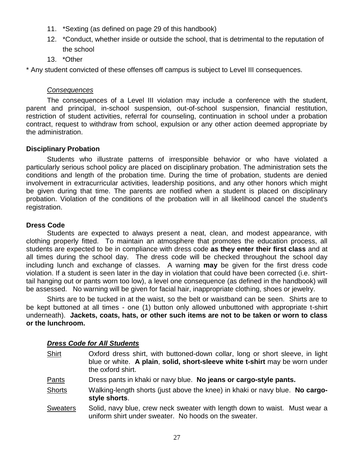- 11. \*Sexting (as defined on page 29 of this handbook)
- 12. \*Conduct, whether inside or outside the school, that is detrimental to the reputation of the school
- 13. \*Other

\* Any student convicted of these offenses off campus is subject to Level III consequences.

## *Consequences*

The consequences of a Level III violation may include a conference with the student, parent and principal, in-school suspension, out-of-school suspension, financial restitution, restriction of student activities, referral for counseling, continuation in school under a probation contract, request to withdraw from school, expulsion or any other action deemed appropriate by the administration.

## **Disciplinary Probation**

Students who illustrate patterns of irresponsible behavior or who have violated a particularly serious school policy are placed on disciplinary probation. The administration sets the conditions and length of the probation time. During the time of probation, students are denied involvement in extracurricular activities, leadership positions, and any other honors which might be given during that time. The parents are notified when a student is placed on disciplinary probation. Violation of the conditions of the probation will in all likelihood cancel the student's registration.

## **Dress Code**

Students are expected to always present a neat, clean, and modest appearance, with clothing properly fitted. To maintain an atmosphere that promotes the education process, all students are expected to be in compliance with dress code **as they enter their first class** and at all times during the school day. The dress code will be checked throughout the school day including lunch and exchange of classes. A warning **may** be given for the first dress code violation. If a student is seen later in the day in violation that could have been corrected (i.e. shirttail hanging out or pants worn too low), a level one consequence (as defined in the handbook) will be assessed. No warning will be given for facial hair, inappropriate clothing, shoes or jewelry.

Shirts are to be tucked in at the waist, so the belt or waistband can be seen. Shirts are to be kept buttoned at all times - one (1) button only allowed unbuttoned with appropriate t-shirt underneath). **Jackets, coats, hats, or other such items are not to be taken or worn to class or the lunchroom.**

## *Dress Code for All Students*

| <b>Shirt</b>    | Oxford dress shirt, with buttoned-down collar, long or short sleeve, in light<br>blue or white. A plain, solid, short-sleeve white t-shirt may be worn under<br>the oxford shirt. |
|-----------------|-----------------------------------------------------------------------------------------------------------------------------------------------------------------------------------|
| Pants           | Dress pants in khaki or navy blue. No jeans or cargo-style pants.                                                                                                                 |
| <b>Shorts</b>   | Walking-length shorts (just above the knee) in khaki or navy blue. No cargo-<br>style shorts.                                                                                     |
| <b>Sweaters</b> | Solid, navy blue, crew neck sweater with length down to waist. Must wear a<br>uniform shirt under sweater. No hoods on the sweater.                                               |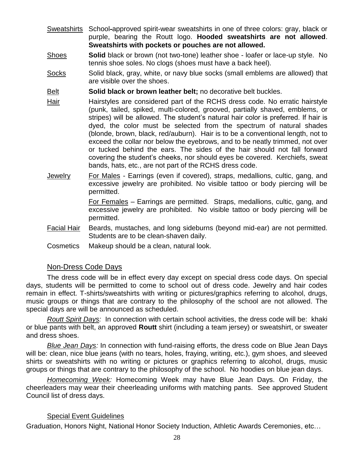- Sweatshirts School-approved spirit-wear sweatshirts in one of three colors: gray, black or purple, bearing the Routt logo. **Hooded sweatshirts are not allowed**. **Sweatshirts with pockets or pouches are not allowed.**
- Shoes **Solid** black or brown (not two-tone) leather shoe loafer or lace-up style. No tennis shoe soles. No clogs (shoes must have a back heel).
- Socks Solid black, gray, white, or navy blue socks (small emblems are allowed) that are visible over the shoes.

Belt **Solid black or brown leather belt;** no decorative belt buckles.

- Hair Hairstyles are considered part of the RCHS dress code. No erratic hairstyle (punk, tailed, spiked, multi-colored, grooved, partially shaved, emblems, or stripes) will be allowed. The student's natural hair color is preferred. If hair is dyed, the color must be selected from the spectrum of natural shades (blonde, brown, black, red/auburn). Hair is to be a conventional length, not to exceed the collar nor below the eyebrows, and to be neatly trimmed, not over or tucked behind the ears. The sides of the hair should not fall forward covering the student's cheeks, nor should eyes be covered. Kerchiefs, sweat bands, hats, etc., are not part of the RCHS dress code.
- Jewelry For Males Earrings (even if covered), straps, medallions, cultic, gang, and excessive jewelry are prohibited. No visible tattoo or body piercing will be permitted.

For Females – Earrings are permitted. Straps, medallions, cultic, gang, and excessive jewelry are prohibited. No visible tattoo or body piercing will be permitted.

- Facial Hair Beards, mustaches, and long sideburns (beyond mid-ear) are not permitted. Students are to be clean-shaven daily.
- Cosmetics Makeup should be a clean, natural look.

## Non-Dress Code Days

The dress code will be in effect every day except on special dress code days. On special days, students will be permitted to come to school out of dress code. Jewelry and hair codes remain in effect. T-shirts/sweatshirts with writing or pictures/graphics referring to alcohol, drugs, music groups or things that are contrary to the philosophy of the school are not allowed. The special days are will be announced as scheduled.

*Routt Spirit Days:* In connection with certain school activities, the dress code will be: khaki or blue pants with belt, an approved **Routt** shirt (including a team jersey) or sweatshirt, or sweater and dress shoes.

*Blue Jean Days:* In connection with fund-raising efforts, the dress code on Blue Jean Days will be: clean, nice blue jeans (with no tears, holes, fraying, writing, etc.), gym shoes, and sleeved shirts or sweatshirts with no writing or pictures or graphics referring to alcohol, drugs, music groups or things that are contrary to the philosophy of the school. No hoodies on blue jean days.

*Homecoming Week:* Homecoming Week may have Blue Jean Days. On Friday, the cheerleaders may wear their cheerleading uniforms with matching pants. See approved Student Council list of dress days.

## Special Event Guidelines

Graduation, Honors Night, National Honor Society Induction, Athletic Awards Ceremonies, etc…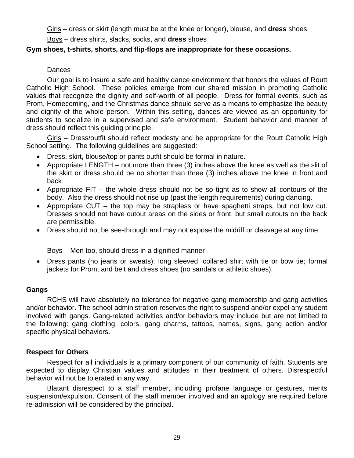Girls – dress or skirt (length must be at the knee or longer), blouse, and **dress** shoes

Boys – dress shirts, slacks, socks, and **dress** shoes

## **Gym shoes, t-shirts, shorts, and flip-flops are inappropriate for these occasions.**

## Dances

Our goal is to insure a safe and healthy dance environment that honors the values of Routt Catholic High School. These policies emerge from our shared mission in promoting Catholic values that recognize the dignity and self-worth of all people. Dress for formal events, such as Prom, Homecoming, and the Christmas dance should serve as a means to emphasize the beauty and dignity of the whole person. Within this setting, dances are viewed as an opportunity for students to socialize in a supervised and safe environment. Student behavior and manner of dress should reflect this guiding principle.

Girls – Dress/outfit should reflect modesty and be appropriate for the Routt Catholic High School setting. The following guidelines are suggested:

- Dress, skirt, blouse/top or pants outfit should be formal in nature.
- Appropriate LENGTH not more than three (3) inches above the knee as well as the slit of the skirt or dress should be no shorter than three (3) inches above the knee in front and back
- Appropriate FIT the whole dress should not be so tight as to show all contours of the body. Also the dress should not rise up (past the length requirements) during dancing.
- Appropriate CUT the top may be strapless or have spaghetti straps, but not low cut. Dresses should not have cutout areas on the sides or front, but small cutouts on the back are permissible.
- Dress should not be see-through and may not expose the midriff or cleavage at any time.

Boys – Men too, should dress in a dignified manner

 Dress pants (no jeans or sweats); long sleeved, collared shirt with tie or bow tie; formal jackets for Prom; and belt and dress shoes (no sandals or athletic shoes).

## **Gangs**

RCHS will have absolutely no tolerance for negative gang membership and gang activities and/or behavior. The school administration reserves the right to suspend and/or expel any student involved with gangs. Gang-related activities and/or behaviors may include but are not limited to the following: gang clothing, colors, gang charms, tattoos, names, signs, gang action and/or specific physical behaviors.

## **Respect for Others**

Respect for all individuals is a primary component of our community of faith. Students are expected to display Christian values and attitudes in their treatment of others. Disrespectful behavior will not be tolerated in any way.

Blatant disrespect to a staff member, including profane language or gestures, merits suspension/expulsion. Consent of the staff member involved and an apology are required before re-admission will be considered by the principal.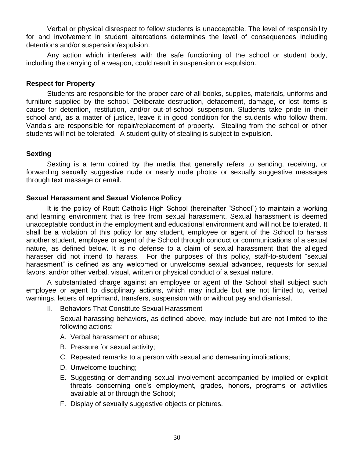Verbal or physical disrespect to fellow students is unacceptable. The level of responsibility for and involvement in student altercations determines the level of consequences including detentions and/or suspension/expulsion.

Any action which interferes with the safe functioning of the school or student body, including the carrying of a weapon, could result in suspension or expulsion.

## **Respect for Property**

Students are responsible for the proper care of all books, supplies, materials, uniforms and furniture supplied by the school. Deliberate destruction, defacement, damage, or lost items is cause for detention, restitution, and/or out-of-school suspension. Students take pride in their school and, as a matter of justice, leave it in good condition for the students who follow them. Vandals are responsible for repair/replacement of property. Stealing from the school or other students will not be tolerated. A student guilty of stealing is subject to expulsion.

## **Sexting**

Sexting is a term coined by the media that generally refers to sending, receiving, or forwarding sexually suggestive nude or nearly nude photos or sexually suggestive messages through text message or email.

## **Sexual Harassment and Sexual Violence Policy**

It is the policy of Routt Catholic High School (hereinafter "School") to maintain a working and learning environment that is free from sexual harassment. Sexual harassment is deemed unacceptable conduct in the employment and educational environment and will not be tolerated. It shall be a violation of this policy for any student, employee or agent of the School to harass another student, employee or agent of the School through conduct or communications of a sexual nature, as defined below. It is no defense to a claim of sexual harassment that the alleged harasser did not intend to harass. For the purposes of this policy, staff-to-student "sexual harassment" is defined as any welcomed or unwelcome sexual advances, requests for sexual favors, and/or other verbal, visual, written or physical conduct of a sexual nature.

A substantiated charge against an employee or agent of the School shall subject such employee or agent to disciplinary actions, which may include but are not limited to, verbal warnings, letters of reprimand, transfers, suspension with or without pay and dismissal.

II. Behaviors That Constitute Sexual Harassment

Sexual harassing behaviors, as defined above, may include but are not limited to the following actions:

- A. Verbal harassment or abuse;
- B. Pressure for sexual activity;
- C. Repeated remarks to a person with sexual and demeaning implications;
- D. Unwelcome touching;
- E. Suggesting or demanding sexual involvement accompanied by implied or explicit threats concerning one's employment, grades, honors, programs or activities available at or through the School;
- F. Display of sexually suggestive objects or pictures.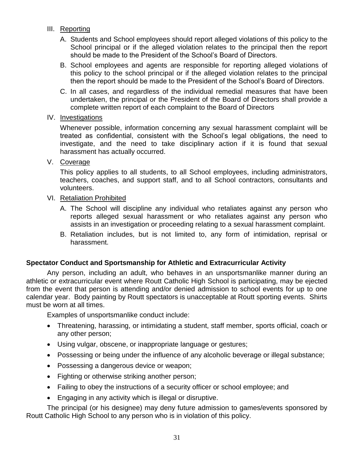- III. Reporting
	- A. Students and School employees should report alleged violations of this policy to the School principal or if the alleged violation relates to the principal then the report should be made to the President of the School's Board of Directors.
	- B. School employees and agents are responsible for reporting alleged violations of this policy to the school principal or if the alleged violation relates to the principal then the report should be made to the President of the School's Board of Directors.
	- C. In all cases, and regardless of the individual remedial measures that have been undertaken, the principal or the President of the Board of Directors shall provide a complete written report of each complaint to the Board of Directors
- IV. Investigations

Whenever possible, information concerning any sexual harassment complaint will be treated as confidential, consistent with the School's legal obligations, the need to investigate, and the need to take disciplinary action if it is found that sexual harassment has actually occurred.

V. Coverage

This policy applies to all students, to all School employees, including administrators, teachers, coaches, and support staff, and to all School contractors, consultants and volunteers.

- VI. Retaliation Prohibited
	- A. The School will discipline any individual who retaliates against any person who reports alleged sexual harassment or who retaliates against any person who assists in an investigation or proceeding relating to a sexual harassment complaint.
	- B. Retaliation includes, but is not limited to, any form of intimidation, reprisal or harassment.

## **Spectator Conduct and Sportsmanship for Athletic and Extracurricular Activity**

Any person, including an adult, who behaves in an unsportsmanlike manner during an athletic or extracurricular event where Routt Catholic High School is participating, may be ejected from the event that person is attending and/or denied admission to school events for up to one calendar year. Body painting by Routt spectators is unacceptable at Routt sporting events. Shirts must be worn at all times.

Examples of unsportsmanlike conduct include:

- Threatening, harassing, or intimidating a student, staff member, sports official, coach or any other person;
- Using vulgar, obscene, or inappropriate language or gestures;
- Possessing or being under the influence of any alcoholic beverage or illegal substance;
- Possessing a dangerous device or weapon;
- Fighting or otherwise striking another person;
- Failing to obey the instructions of a security officer or school employee; and
- Engaging in any activity which is illegal or disruptive.

The principal (or his designee) may deny future admission to games/events sponsored by Routt Catholic High School to any person who is in violation of this policy.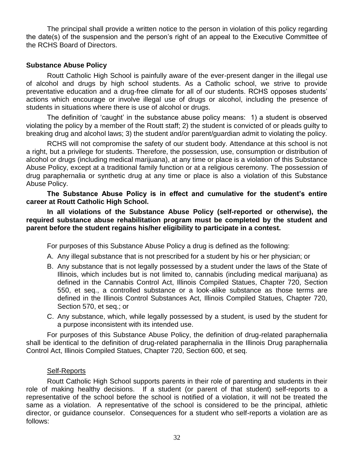The principal shall provide a written notice to the person in violation of this policy regarding the date(s) of the suspension and the person's right of an appeal to the Executive Committee of the RCHS Board of Directors.

## **Substance Abuse Policy**

Routt Catholic High School is painfully aware of the ever-present danger in the illegal use of alcohol and drugs by high school students. As a Catholic school, we strive to provide preventative education and a drug-free climate for all of our students. RCHS opposes students' actions which encourage or involve illegal use of drugs or alcohol, including the presence of students in situations where there is use of alcohol or drugs.

The definition of 'caught' in the substance abuse policy means: 1) a student is observed violating the policy by a member of the Routt staff; 2) the student is convicted of or pleads guilty to breaking drug and alcohol laws; 3) the student and/or parent/guardian admit to violating the policy.

RCHS will not compromise the safety of our student body. Attendance at this school is not a right, but a privilege for students. Therefore, the possession, use, consumption or distribution of alcohol or drugs (including medical marijuana), at any time or place is a violation of this Substance Abuse Policy, except at a traditional family function or at a religious ceremony. The possession of drug paraphernalia or synthetic drug at any time or place is also a violation of this Substance Abuse Policy.

**The Substance Abuse Policy is in effect and cumulative for the student's entire career at Routt Catholic High School.**

**In all violations of the Substance Abuse Policy (self-reported or otherwise), the required substance abuse rehabilitation program must be completed by the student and parent before the student regains his/her eligibility to participate in a contest.**

For purposes of this Substance Abuse Policy a drug is defined as the following:

- A. Any illegal substance that is not prescribed for a student by his or her physician; or
- B. Any substance that is not legally possessed by a student under the laws of the State of Illinois, which includes but is not limited to, cannabis (including medical marijuana) as defined in the Cannabis Control Act, Illinois Compiled Statues, Chapter 720, Section 550, et seq., a controlled substance or a look-alike substance as those terms are defined in the Illinois Control Substances Act, Illinois Compiled Statues, Chapter 720, Section 570, et seq.; or
- C. Any substance, which, while legally possessed by a student, is used by the student for a purpose inconsistent with its intended use.

For purposes of this Substance Abuse Policy, the definition of drug-related paraphernalia shall be identical to the definition of drug-related paraphernalia in the Illinois Drug paraphernalia Control Act, Illinois Compiled Statues, Chapter 720, Section 600, et seq.

## Self-Reports

Routt Catholic High School supports parents in their role of parenting and students in their role of making healthy decisions. If a student (or parent of that student) self-reports to a representative of the school before the school is notified of a violation, it will not be treated the same as a violation. A representative of the school is considered to be the principal, athletic director, or guidance counselor. Consequences for a student who self-reports a violation are as follows: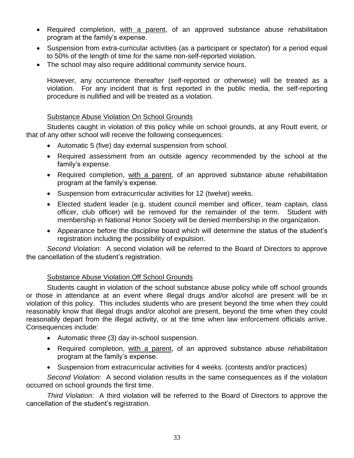- Required completion, with a parent, of an approved substance abuse rehabilitation program at the family's expense.
- Suspension from extra-curricular activities (as a participant or spectator) for a period equal to 50% of the length of time for the same non-self-reported violation.
- The school may also require additional community service hours.

However, any occurrence thereafter (self-reported or otherwise) will be treated as a violation. For any incident that is first reported in the public media, the self-reporting procedure is nullified and will be treated as a violation.

## Substance Abuse Violation On School Grounds

Students caught in violation of this policy while on school grounds, at any Routt event, or that of any other school will receive the following consequences:

- Automatic 5 (five) day external suspension from school.
- Required assessment from an outside agency recommended by the school at the family's expense.
- Required completion, with a parent, of an approved substance abuse rehabilitation program at the family's expense.
- Suspension from extracurricular activities for 12 (twelve) weeks.
- Elected student leader (e.g. student council member and officer, team captain, class officer, club officer) will be removed for the remainder of the term. Student with membership in National Honor Society will be denied membership in the organization.
- Appearance before the discipline board which will determine the status of the student's registration including the possibility of expulsion.

*Second Violation*: A second violation will be referred to the Board of Directors to approve the cancellation of the student's registration.

## Substance Abuse Violation Off School Grounds

Students caught in violation of the school substance abuse policy while off school grounds or those in attendance at an event where illegal drugs and/or alcohol are present will be in violation of this policy. This includes students who are present beyond the time when they could reasonably know that illegal drugs and/or alcohol are present, beyond the time when they could reasonably depart from the illegal activity, or at the time when law enforcement officials arrive. Consequences include:

- Automatic three (3) day in-school suspension.
- Required completion, with a parent, of an approved substance abuse rehabilitation program at the family's expense.
- Suspension from extracurricular activities for 4 weeks. (contests and/or practices)

*Second Violation*: A second violation results in the same consequences as if the violation occurred on school grounds the first time.

*Third Violation*: A third violation will be referred to the Board of Directors to approve the cancellation of the student's registration.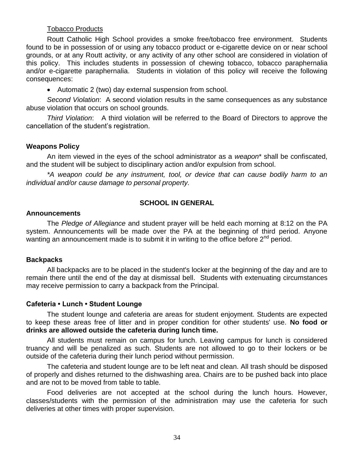## Tobacco Products

Routt Catholic High School provides a smoke free/tobacco free environment. Students found to be in possession of or using any tobacco product or e-cigarette device on or near school grounds, or at any Routt activity, or any activity of any other school are considered in violation of this policy. This includes students in possession of chewing tobacco, tobacco paraphernalia and/or e-cigarette paraphernalia. Students in violation of this policy will receive the following consequences:

Automatic 2 (two) day external suspension from school.

*Second Violation*: A second violation results in the same consequences as any substance abuse violation that occurs on school grounds.

*Third Violation*: A third violation will be referred to the Board of Directors to approve the cancellation of the student's registration.

## **Weapons Policy**

An item viewed in the eyes of the school administrator as a *weapon*\* shall be confiscated, and the student will be subject to disciplinary action and/or expulsion from school.

*\*A weapon could be any instrument, tool, or device that can cause bodily harm to an individual and/or cause damage to personal property.*

## **SCHOOL IN GENERAL**

#### **Announcements**

The *Pledge of Allegiance* and student prayer will be held each morning at 8:12 on the PA system. Announcements will be made over the PA at the beginning of third period. Anyone wanting an announcement made is to submit it in writing to the office before 2<sup>nd</sup> period.

## **Backpacks**

All backpacks are to be placed in the student's locker at the beginning of the day and are to remain there until the end of the day at dismissal bell. Students with extenuating circumstances may receive permission to carry a backpack from the Principal.

## **Cafeteria • Lunch • Student Lounge**

The student lounge and cafeteria are areas for student enjoyment. Students are expected to keep these areas free of litter and in proper condition for other students' use. **No food or drinks are allowed outside the cafeteria during lunch time.**

All students must remain on campus for lunch. Leaving campus for lunch is considered truancy and will be penalized as such. Students are not allowed to go to their lockers or be outside of the cafeteria during their lunch period without permission.

The cafeteria and student lounge are to be left neat and clean. All trash should be disposed of properly and dishes returned to the dishwashing area. Chairs are to be pushed back into place and are not to be moved from table to table.

Food deliveries are not accepted at the school during the lunch hours. However, classes/students with the permission of the administration may use the cafeteria for such deliveries at other times with proper supervision.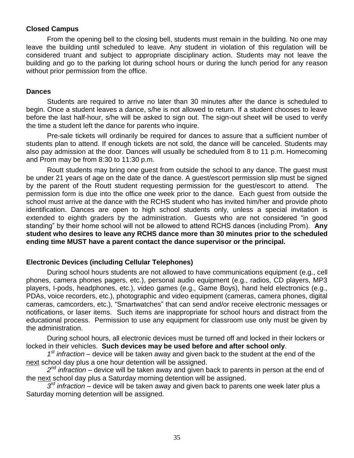## **Closed Campus**

From the opening bell to the closing bell, students must remain in the building. No one may leave the building until scheduled to leave. Any student in violation of this regulation will be considered truant and subject to appropriate disciplinary action. Students may not leave the building and go to the parking lot during school hours or during the lunch period for any reason without prior permission from the office.

#### **Dances**

Students are required to arrive no later than 30 minutes after the dance is scheduled to begin. Once a student leaves a dance, s/he is not allowed to return. If a student chooses to leave before the last half-hour, s/he will be asked to sign out. The sign-out sheet will be used to verify the time a student left the dance for parents who inquire.

Pre-sale tickets will ordinarily be required for dances to assure that a sufficient number of students plan to attend. If enough tickets are not sold, the dance will be canceled. Students may also pay admission at the door. Dances will usually be scheduled from 8 to 11 p.m. Homecoming and Prom may be from 8:30 to 11:30 p.m.

Routt students may bring one guest from outside the school to any dance. The guest must be under 21 years of age on the date of the dance. A guest/escort permission slip must be signed by the parent of the Routt student requesting permission for the guest/escort to attend. The permission form is due into the office one week prior to the dance. Each guest from outside the school must arrive at the dance with the RCHS student who has invited him/her and provide photo identification. Dances are open to high school students only, unless a special invitation is extended to eighth graders by the administration. Guests who are not considered "in good standing" by their home school will not be allowed to attend RCHS dances (including Prom). **Any student who desires to leave any RCHS dance more than 30 minutes prior to the scheduled ending time MUST have a parent contact the dance supervisor or the principal.**

## **Electronic Devices (including Cellular Telephones)**

During school hours students are not allowed to have communications equipment (e.g., cell phones, camera phones pagers, etc.), personal audio equipment (e.g., radios, CD players, MP3 players, I-pods, headphones, etc.), video games (e.g., Game Boys), hand held electronics (e.g., PDAs, voice recorders, etc.), photographic and video equipment (cameras, camera phones, digital cameras, camcorders, etc.), "Smartwatches" that can send and/or receive electronic messages or notifications, or laser items. Such items are inappropriate for school hours and distract from the educational process. Permission to use any equipment for classroom use only must be given by the administration.

During school hours, all electronic devices must be turned off and locked in their lockers or locked in their vehicles. **Such devices may be used before and after school only**.

*1 st infraction –* device will be taken away and given back to the student at the end of the next school day plus a one hour detention will be assigned.

*2 nd infraction* – device will be taken away and given back to parents in person at the end of the next school day plus a Saturday morning detention will be assigned.

 $\overline{3}$ <sup>rd</sup> *infraction* – device will be taken away and given back to parents one week later plus a Saturday morning detention will be assigned.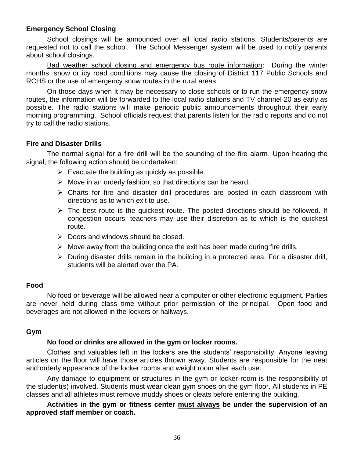## **Emergency School Closing**

School closings will be announced over all local radio stations. Students/parents are requested not to call the school. The School Messenger system will be used to notify parents about school closings.

Bad weather school closing and emergency bus route information: During the winter months, snow or icy road conditions may cause the closing of District 117 Public Schools and RCHS or the use of emergency snow routes in the rural areas.

On those days when it may be necessary to close schools or to run the emergency snow routes, the information will be forwarded to the local radio stations and TV channel 20 as early as possible. The radio stations will make periodic public announcements throughout their early morning programming. School officials request that parents listen for the radio reports and do not try to call the radio stations.

#### **Fire and Disaster Drills**

The normal signal for a fire drill will be the sounding of the fire alarm. Upon hearing the signal, the following action should be undertaken:

- $\triangleright$  Evacuate the building as quickly as possible.
- $\triangleright$  Move in an orderly fashion, so that directions can be heard.
- $\triangleright$  Charts for fire and disaster drill procedures are posted in each classroom with directions as to which exit to use.
- $\triangleright$  The best route is the quickest route. The posted directions should be followed. If congestion occurs, teachers may use their discretion as to which is the quickest route.
- $\triangleright$  Doors and windows should be closed.
- $\triangleright$  Move away from the building once the exit has been made during fire drills.
- $\triangleright$  During disaster drills remain in the building in a protected area. For a disaster drill, students will be alerted over the PA.

#### **Food**

No food or beverage will be allowed near a computer or other electronic equipment. Parties are never held during class time without prior permission of the principal. Open food and beverages are not allowed in the lockers or hallways.

#### **Gym**

#### **No food or drinks are allowed in the gym or locker rooms.**

Clothes and valuables left in the lockers are the students' responsibility. Anyone leaving articles on the floor will have those articles thrown away. Students are responsible for the neat and orderly appearance of the locker rooms and weight room after each use.

Any damage to equipment or structures in the gym or locker room is the responsibility of the student(s) involved. Students must wear clean gym shoes on the gym floor. All students in PE classes and all athletes must remove muddy shoes or cleats before entering the building.

**Activities in the gym or fitness center must always be under the supervision of an approved staff member or coach.**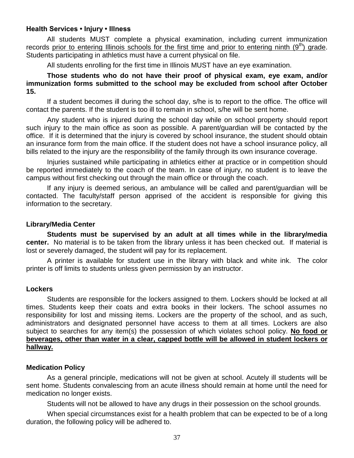#### **Health Services • Injury • Illness**

All students MUST complete a physical examination, including current immunization records prior to entering Illinois schools for the first time and prior to entering ninth  $(9<sup>th</sup>)$  grade. Students participating in athletics must have a current physical on file.

All students enrolling for the first time in Illinois MUST have an eye examination.

**Those students who do not have their proof of physical exam, eye exam, and/or immunization forms submitted to the school may be excluded from school after October 15.**

If a student becomes ill during the school day, s/he is to report to the office. The office will contact the parents. If the student is too ill to remain in school, s/he will be sent home.

Any student who is injured during the school day while on school property should report such injury to the main office as soon as possible. A parent/guardian will be contacted by the office. If it is determined that the injury is covered by school insurance, the student should obtain an insurance form from the main office. If the student does not have a school insurance policy, all bills related to the injury are the responsibility of the family through its own insurance coverage.

Injuries sustained while participating in athletics either at practice or in competition should be reported immediately to the coach of the team. In case of injury, no student is to leave the campus without first checking out through the main office or through the coach.

If any injury is deemed serious, an ambulance will be called and parent/guardian will be contacted. The faculty/staff person apprised of the accident is responsible for giving this information to the secretary.

#### **Library/Media Center**

**Students must be supervised by an adult at all times while in the library/media center.** No material is to be taken from the library unless it has been checked out. If material is lost or severely damaged, the student will pay for its replacement.

A printer is available for student use in the library with black and white ink. The color printer is off limits to students unless given permission by an instructor.

#### **Lockers**

Students are responsible for the lockers assigned to them. Lockers should be locked at all times. Students keep their coats and extra books in their lockers. The school assumes no responsibility for lost and missing items. Lockers are the property of the school, and as such, administrators and designated personnel have access to them at all times. Lockers are also subject to searches for any item(s) the possession of which violates school policy. **No food or beverages, other than water in a clear, capped bottle will be allowed in student lockers or hallway.**

## **Medication Policy**

As a general principle, medications will not be given at school. Acutely ill students will be sent home. Students convalescing from an acute illness should remain at home until the need for medication no longer exists.

Students will not be allowed to have any drugs in their possession on the school grounds.

When special circumstances exist for a health problem that can be expected to be of a long duration, the following policy will be adhered to.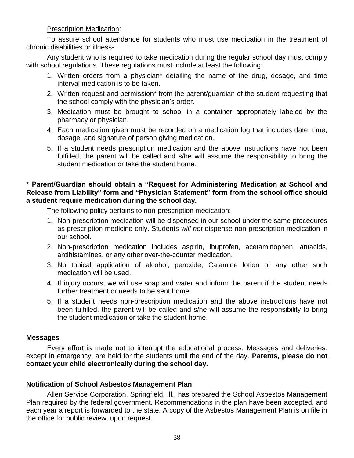#### Prescription Medication:

To assure school attendance for students who must use medication in the treatment of chronic disabilities or illness-

Any student who is required to take medication during the regular school day must comply with school regulations. These regulations must include at least the following:

- 1. Written orders from a physician\* detailing the name of the drug, dosage, and time interval medication is to be taken.
- 2. Written request and permission\* from the parent/guardian of the student requesting that the school comply with the physician's order.
- 3. Medication must be brought to school in a container appropriately labeled by the pharmacy or physician.
- 4. Each medication given must be recorded on a medication log that includes date, time, dosage, and signature of person giving medication.
- 5. If a student needs prescription medication and the above instructions have not been fulfilled, the parent will be called and s/he will assume the responsibility to bring the student medication or take the student home.

## \* **Parent/Guardian should obtain a "Request for Administering Medication at School and Release from Liability" form and "Physician Statement" form from the school office should a student require medication during the school day.**

The following policy pertains to non-prescription medication:

- 1. Non-prescription medication will be dispensed in our school under the same procedures as prescription medicine only. Students *will not* dispense non-prescription medication in our school.
- 2. Non-prescription medication includes aspirin, ibuprofen, acetaminophen, antacids, antihistamines, or any other over-the-counter medication.
- 3. No topical application of alcohol, peroxide, Calamine lotion or any other such medication will be used.
- 4. If injury occurs, we will use soap and water and inform the parent if the student needs further treatment or needs to be sent home.
- 5. If a student needs non-prescription medication and the above instructions have not been fulfilled, the parent will be called and s/he will assume the responsibility to bring the student medication or take the student home.

## **Messages**

Every effort is made not to interrupt the educational process. Messages and deliveries, except in emergency, are held for the students until the end of the day. **Parents, please do not contact your child electronically during the school day.**

## **Notification of School Asbestos Management Plan**

Allen Service Corporation, Springfield, Ill., has prepared the School Asbestos Management Plan required by the federal government. Recommendations in the plan have been accepted, and each year a report is forwarded to the state. A copy of the Asbestos Management Plan is on file in the office for public review, upon request.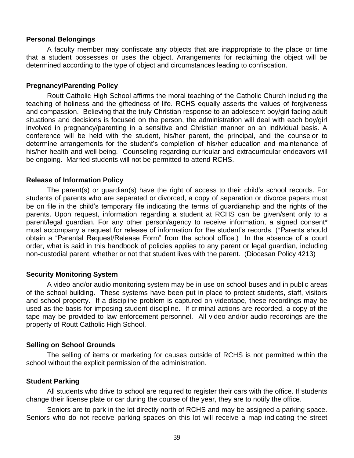#### **Personal Belongings**

A faculty member may confiscate any objects that are inappropriate to the place or time that a student possesses or uses the object. Arrangements for reclaiming the object will be determined according to the type of object and circumstances leading to confiscation.

#### **Pregnancy/Parenting Policy**

Routt Catholic High School affirms the moral teaching of the Catholic Church including the teaching of holiness and the giftedness of life. RCHS equally asserts the values of forgiveness and compassion. Believing that the truly Christian response to an adolescent boy/girl facing adult situations and decisions is focused on the person, the administration will deal with each boy/girl involved in pregnancy/parenting in a sensitive and Christian manner on an individual basis. A conference will be held with the student, his/her parent, the principal, and the counselor to determine arrangements for the student's completion of his/her education and maintenance of his/her health and well-being. Counseling regarding curricular and extracurricular endeavors will be ongoing. Married students will not be permitted to attend RCHS.

#### **Release of Information Policy**

The parent(s) or guardian(s) have the right of access to their child's school records. For students of parents who are separated or divorced, a copy of separation or divorce papers must be on file in the child's temporary file indicating the terms of guardianship and the rights of the parents. Upon request, information regarding a student at RCHS can be given/sent only to a parent/legal guardian. For any other person/agency to receive information, a signed consent\* must accompany a request for release of information for the student's records. (\*Parents should obtain a "Parental Request/Release Form" from the school office.) In the absence of a court order, what is said in this handbook of policies applies to any parent or legal guardian, including non-custodial parent, whether or not that student lives with the parent. (Diocesan Policy 4213)

## **Security Monitoring System**

A video and/or audio monitoring system may be in use on school buses and in public areas of the school building. These systems have been put in place to protect students, staff, visitors and school property. If a discipline problem is captured on videotape, these recordings may be used as the basis for imposing student discipline. If criminal actions are recorded, a copy of the tape may be provided to law enforcement personnel. All video and/or audio recordings are the property of Routt Catholic High School.

## **Selling on School Grounds**

The selling of items or marketing for causes outside of RCHS is not permitted within the school without the explicit permission of the administration.

## **Student Parking**

All students who drive to school are required to register their cars with the office. If students change their license plate or car during the course of the year, they are to notify the office.

Seniors are to park in the lot directly north of RCHS and may be assigned a parking space. Seniors who do not receive parking spaces on this lot will receive a map indicating the street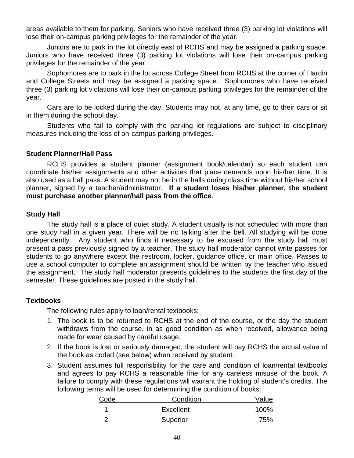areas available to them for parking. Seniors who have received three (3) parking lot violations will lose their on-campus parking privileges for the remainder of the year.

Juniors are to park in the lot directly east of RCHS and may be assigned a parking space. Juniors who have received three (3) parking lot violations will lose their on-campus parking privileges for the remainder of the year.

Sophomores are to park in the lot across College Street from RCHS at the corner of Hardin and College Streets and may be assigned a parking space. Sophomores who have received three (3) parking lot violations will lose their on-campus parking privileges for the remainder of the year.

Cars are to be locked during the day. Students may not, at any time, go to their cars or sit in them during the school day.

Students who fail to comply with the parking lot regulations are subject to disciplinary measures including the loss of on-campus parking privileges.

#### **Student Planner/Hall Pass**

RCHS provides a student planner (assignment book/calendar) so each student can coordinate his/her assignments and other activities that place demands upon his/her time. It is also used as a hall pass. A student may not be in the halls during class time without his/her school planner, signed by a teacher/administrator. **If a student loses his/her planner, the student must purchase another planner/hall pass from the office**.

#### **Study Hall**

The study hall is a place of quiet study. A student usually is not scheduled with more than one study hall in a given year. There will be no talking after the bell. All studying will be done independently. Any student who finds it necessary to be excused from the study hall must present a pass previously signed by a teacher. The study hall moderator cannot write passes for students to go anywhere except the restroom, locker, guidance office, or main office. Passes to use a school computer to complete an assignment should be written by the teacher who issued the assignment. The study hall moderator presents guidelines to the students the first day of the semester. These guidelines are posted in the study hall.

## **Textbooks**

The following rules apply to loan/rental textbooks:

- 1. The book is to be returned to RCHS at the end of the course, or the day the student withdraws from the course, in as good condition as when received, allowance being made for wear caused by careful usage.
- 2. If the book is lost or seriously damaged, the student will pay RCHS the actual value of the book as coded (see below) when received by student.
- 3. Student assumes full responsibility for the care and condition of loan/rental textbooks and agrees to pay RCHS a reasonable fine for any careless misuse of the book. A failure to comply with these regulations will warrant the holding of student's credits. The following terms will be used for determining the condition of books:

| Code                       | Condition        | Value |
|----------------------------|------------------|-------|
|                            | <b>Excellent</b> | 100%  |
| $\overline{\phantom{0}}^2$ | Superior         | 75%   |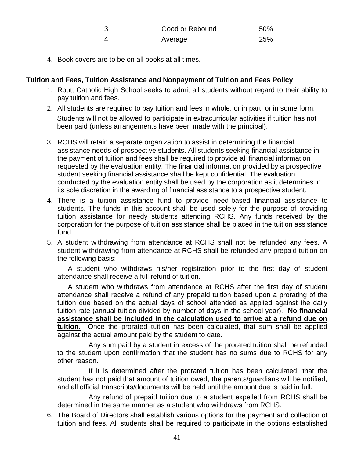| - 3 | Good or Rebound | 50% |
|-----|-----------------|-----|
|     | Average         | 25% |

4. Book covers are to be on all books at all times.

## **Tuition and Fees, Tuition Assistance and Nonpayment of Tuition and Fees Policy**

- 1. Routt Catholic High School seeks to admit all students without regard to their ability to pay tuition and fees.
- 2. All students are required to pay tuition and fees in whole, or in part, or in some form. Students will not be allowed to participate in extracurricular activities if tuition has not been paid (unless arrangements have been made with the principal).
- 3. RCHS will retain a separate organization to assist in determining the financial assistance needs of prospective students. All students seeking financial assistance in the payment of tuition and fees shall be required to provide all financial information requested by the evaluation entity. The financial information provided by a prospective student seeking financial assistance shall be kept confidential. The evaluation conducted by the evaluation entity shall be used by the corporation as it determines in its sole discretion in the awarding of financial assistance to a prospective student.
- 4. There is a tuition assistance fund to provide need-based financial assistance to students. The funds in this account shall be used solely for the purpose of providing tuition assistance for needy students attending RCHS. Any funds received by the corporation for the purpose of tuition assistance shall be placed in the tuition assistance fund.
- 5. A student withdrawing from attendance at RCHS shall not be refunded any fees. A student withdrawing from attendance at RCHS shall be refunded any prepaid tuition on the following basis:

A student who withdraws his/her registration prior to the first day of student attendance shall receive a full refund of tuition.

A student who withdraws from attendance at RCHS after the first day of student attendance shall receive a refund of any prepaid tuition based upon a prorating of the tuition due based on the actual days of school attended as applied against the daily tuition rate (annual tuition divided by number of days in the school year). **No financial assistance shall be included in the calculation used to arrive at a refund due on tuition.** Once the prorated tuition has been calculated, that sum shall be applied against the actual amount paid by the student to date.

Any sum paid by a student in excess of the prorated tuition shall be refunded to the student upon confirmation that the student has no sums due to RCHS for any other reason.

If it is determined after the prorated tuition has been calculated, that the student has not paid that amount of tuition owed, the parents/guardians will be notified, and all official transcripts/documents will be held until the amount due is paid in full.

Any refund of prepaid tuition due to a student expelled from RCHS shall be determined in the same manner as a student who withdraws from RCHS.

6. The Board of Directors shall establish various options for the payment and collection of tuition and fees. All students shall be required to participate in the options established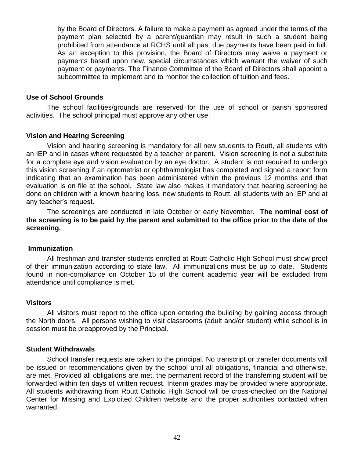by the Board of Directors. A failure to make a payment as agreed under the terms of the payment plan selected by a parent/guardian may result in such a student being prohibited from attendance at RCHS until all past due payments have been paid in full. As an exception to this provision, the Board of Directors may waive a payment or payments based upon new, special circumstances which warrant the waiver of such payment or payments. The Finance Committee of the Board of Directors shall appoint a subcommittee to implement and to monitor the collection of tuition and fees.

## **Use of School Grounds**

The school facilities/grounds are reserved for the use of school or parish sponsored activities. The school principal must approve any other use.

#### **Vision and Hearing Screening**

Vision and hearing screening is mandatory for all new students to Routt, all students with an IEP and in cases where requested by a teacher or parent. Vision screening is not a substitute for a complete eye and vision evaluation by an eye doctor. A student is not required to undergo this vision screening if an optometrist or ophthalmologist has completed and signed a report form indicating that an examination has been administered within the previous 12 months and that evaluation is on file at the school. State law also makes it mandatory that hearing screening be done on children with a known hearing loss, new students to Routt, all students with an IEP and at any teacher's request.

The screenings are conducted in late October or early November. **The nominal cost of the screening is to be paid by the parent and submitted to the office prior to the date of the screening.**

#### **Immunization**

All freshman and transfer students enrolled at Routt Catholic High School must show proof of their immunization according to state law. All immunizations must be up to date. Students found in non-compliance on October 15 of the current academic year will be excluded from attendance until compliance is met.

#### **Visitors**

All visitors must report to the office upon entering the building by gaining access through the North doors. All persons wishing to visit classrooms (adult and/or student) while school is in session must be preapproved by the Principal.

#### **Student Withdrawals**

School transfer requests are taken to the principal. No transcript or transfer documents will be issued or recommendations given by the school until all obligations, financial and otherwise, are met. Provided all obligations are met, the permanent record of the transferring student will be forwarded within ten days of written request. Interim grades may be provided where appropriate. All students withdrawing from Routt Catholic High School will be cross-checked on the National Center for Missing and Exploited Children website and the proper authorities contacted when warranted.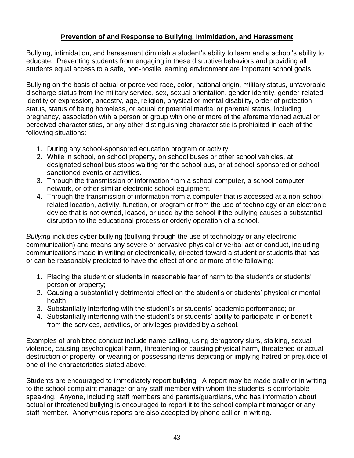## **Prevention of and Response to Bullying, Intimidation, and Harassment**

Bullying, intimidation, and harassment diminish a student's ability to learn and a school's ability to educate. Preventing students from engaging in these disruptive behaviors and providing all students equal access to a safe, non-hostile learning environment are important school goals.

Bullying on the basis of actual or perceived race, color, national origin, military status, unfavorable discharge status from the military service, sex, sexual orientation, gender identity, gender-related identity or expression, ancestry, age, religion, physical or mental disability, order of protection status, status of being homeless, or actual or potential marital or parental status, including pregnancy, association with a person or group with one or more of the aforementioned actual or perceived characteristics, or any other distinguishing characteristic is prohibited in each of the following situations:

- 1. During any school-sponsored education program or activity.
- 2. While in school, on school property, on school buses or other school vehicles, at designated school bus stops waiting for the school bus, or at school-sponsored or schoolsanctioned events or activities.
- 3. Through the transmission of information from a school computer, a school computer network, or other similar electronic school equipment.
- 4. Through the transmission of information from a computer that is accessed at a non-school related location, activity, function, or program or from the use of technology or an electronic device that is not owned, leased, or used by the school if the bullying causes a substantial disruption to the educational process or orderly operation of a school.

*Bullying* includes cyber-bullying (bullying through the use of technology or any electronic communication) and means any severe or pervasive physical or verbal act or conduct, including communications made in writing or electronically, directed toward a student or students that has or can be reasonably predicted to have the effect of one or more of the following:

- 1. Placing the student or students in reasonable fear of harm to the student's or students' person or property;
- 2. Causing a substantially detrimental effect on the student's or students' physical or mental health;
- 3. Substantially interfering with the student's or students' academic performance; or
- 4. Substantially interfering with the student's or students' ability to participate in or benefit from the services, activities, or privileges provided by a school.

Examples of prohibited conduct include name-calling, using derogatory slurs, stalking, sexual violence, causing psychological harm, threatening or causing physical harm, threatened or actual destruction of property, or wearing or possessing items depicting or implying hatred or prejudice of one of the characteristics stated above.

Students are encouraged to immediately report bullying. A report may be made orally or in writing to the school complaint manager or any staff member with whom the students is comfortable speaking. Anyone, including staff members and parents/guardians, who has information about actual or threatened bullying is encouraged to report it to the school complaint manager or any staff member. Anonymous reports are also accepted by phone call or in writing.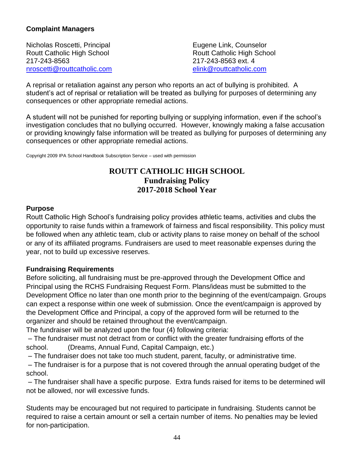## **Complaint Managers**

Nicholas Roscetti, Principal **Eugene Link**, Counselor Routt Catholic High School Routt Catholic High School 217-243-8563 217-243-8563 ext. 4 [nroscetti@routtcatholic.com](mailto:nroscetti@routtcatholic.com) [elink@routtcatholic.com](mailto:elink@routtcatholic.com)

A reprisal or retaliation against any person who reports an act of bullying is prohibited. A student's act of reprisal or retaliation will be treated as bullying for purposes of determining any consequences or other appropriate remedial actions.

A student will not be punished for reporting bullying or supplying information, even if the school's investigation concludes that no bullying occurred. However, knowingly making a false accusation or providing knowingly false information will be treated as bullying for purposes of determining any consequences or other appropriate remedial actions.

Copyright 2009 IPA School Handbook Subscription Service – used with permission

## **ROUTT CATHOLIC HIGH SCHOOL Fundraising Policy 2017-2018 School Year**

## **Purpose**

Routt Catholic High School's fundraising policy provides athletic teams, activities and clubs the opportunity to raise funds within a framework of fairness and fiscal responsibility. This policy must be followed when any athletic team, club or activity plans to raise money on behalf of the school or any of its affiliated programs. Fundraisers are used to meet reasonable expenses during the year, not to build up excessive reserves.

## **Fundraising Requirements**

Before soliciting, all fundraising must be pre-approved through the Development Office and Principal using the RCHS Fundraising Request Form. Plans/ideas must be submitted to the Development Office no later than one month prior to the beginning of the event/campaign. Groups can expect a response within one week of submission. Once the event/campaign is approved by the Development Office and Principal, a copy of the approved form will be returned to the organizer and should be retained throughout the event/campaign.

The fundraiser will be analyzed upon the four (4) following criteria:

– The fundraiser must not detract from or conflict with the greater fundraising efforts of the school. (Dreams, Annual Fund, Capital Campaign, etc.)

– The fundraiser does not take too much student, parent, faculty, or administrative time.

– The fundraiser is for a purpose that is not covered through the annual operating budget of the school.

– The fundraiser shall have a specific purpose. Extra funds raised for items to be determined will not be allowed, nor will excessive funds.

Students may be encouraged but not required to participate in fundraising. Students cannot be required to raise a certain amount or sell a certain number of items. No penalties may be levied for non-participation.